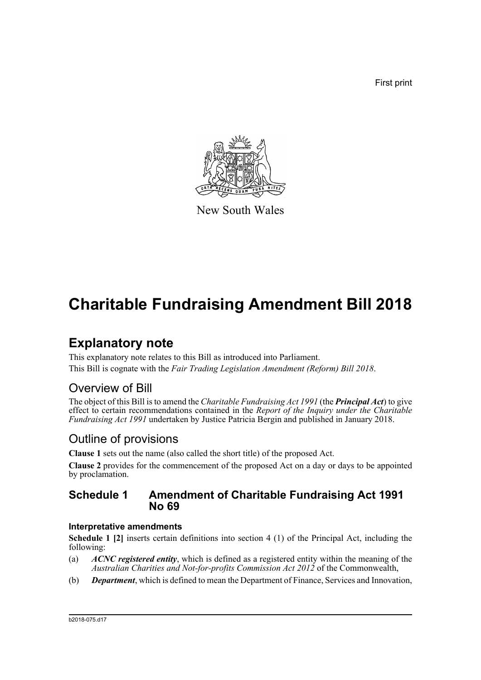First print



New South Wales

# **Charitable Fundraising Amendment Bill 2018**

## **Explanatory note**

This explanatory note relates to this Bill as introduced into Parliament. This Bill is cognate with the *Fair Trading Legislation Amendment (Reform) Bill 2018*.

### Overview of Bill

The object of this Bill is to amend the *Charitable Fundraising Act 1991* (the *Principal Act*) to give effect to certain recommendations contained in the *Report of the Inquiry under the Charitable Fundraising Act 1991* undertaken by Justice Patricia Bergin and published in January 2018.

### Outline of provisions

**Clause 1** sets out the name (also called the short title) of the proposed Act.

**Clause 2** provides for the commencement of the proposed Act on a day or days to be appointed by proclamation.

### **Schedule 1 Amendment of Charitable Fundraising Act 1991 No 69**

#### **Interpretative amendments**

**Schedule 1 [2]** inserts certain definitions into section 4 (1) of the Principal Act, including the following:

- (a) *ACNC registered entity*, which is defined as a registered entity within the meaning of the *Australian Charities and Not-for-profits Commission Act 2012* of the Commonwealth,
- (b) *Department*, which is defined to mean the Department of Finance, Services and Innovation,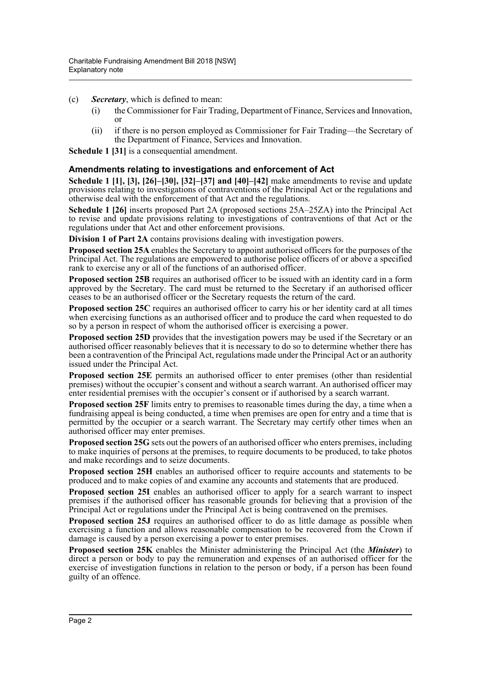(c) *Secretary*, which is defined to mean:

- (i) the Commissioner for Fair Trading, Department of Finance, Services and Innovation, or
- (ii) if there is no person employed as Commissioner for Fair Trading—the Secretary of the Department of Finance, Services and Innovation.

**Schedule 1 [31]** is a consequential amendment.

#### **Amendments relating to investigations and enforcement of Act**

**Schedule 1 [1], [3], [26]–[30], [32]–[37] and [40]–[42]** make amendments to revise and update provisions relating to investigations of contraventions of the Principal Act or the regulations and otherwise deal with the enforcement of that Act and the regulations.

**Schedule 1 [26]** inserts proposed Part 2A (proposed sections 25A–25ZA) into the Principal Act to revise and update provisions relating to investigations of contraventions of that Act or the regulations under that Act and other enforcement provisions.

**Division 1 of Part 2A** contains provisions dealing with investigation powers.

**Proposed section 25A** enables the Secretary to appoint authorised officers for the purposes of the Principal Act. The regulations are empowered to authorise police officers of or above a specified rank to exercise any or all of the functions of an authorised officer.

**Proposed section 25B** requires an authorised officer to be issued with an identity card in a form approved by the Secretary. The card must be returned to the Secretary if an authorised officer ceases to be an authorised officer or the Secretary requests the return of the card.

**Proposed section 25C** requires an authorised officer to carry his or her identity card at all times when exercising functions as an authorised officer and to produce the card when requested to do so by a person in respect of whom the authorised officer is exercising a power.

**Proposed section 25D** provides that the investigation powers may be used if the Secretary or an authorised officer reasonably believes that it is necessary to do so to determine whether there has been a contravention of the Principal Act, regulations made under the Principal Act or an authority issued under the Principal Act.

**Proposed section 25E** permits an authorised officer to enter premises (other than residential premises) without the occupier's consent and without a search warrant. An authorised officer may enter residential premises with the occupier's consent or if authorised by a search warrant.

**Proposed section 25F** limits entry to premises to reasonable times during the day, a time when a fundraising appeal is being conducted, a time when premises are open for entry and a time that is permitted by the occupier or a search warrant. The Secretary may certify other times when an authorised officer may enter premises.

**Proposed section 25G** sets out the powers of an authorised officer who enters premises, including to make inquiries of persons at the premises, to require documents to be produced, to take photos and make recordings and to seize documents.

**Proposed section 25H** enables an authorised officer to require accounts and statements to be produced and to make copies of and examine any accounts and statements that are produced.

**Proposed section 25I** enables an authorised officer to apply for a search warrant to inspect premises if the authorised officer has reasonable grounds for believing that a provision of the Principal Act or regulations under the Principal Act is being contravened on the premises.

**Proposed section 25J** requires an authorised officer to do as little damage as possible when exercising a function and allows reasonable compensation to be recovered from the Crown if damage is caused by a person exercising a power to enter premises.

**Proposed section 25K** enables the Minister administering the Principal Act (the *Minister*) to direct a person or body to pay the remuneration and expenses of an authorised officer for the exercise of investigation functions in relation to the person or body, if a person has been found guilty of an offence.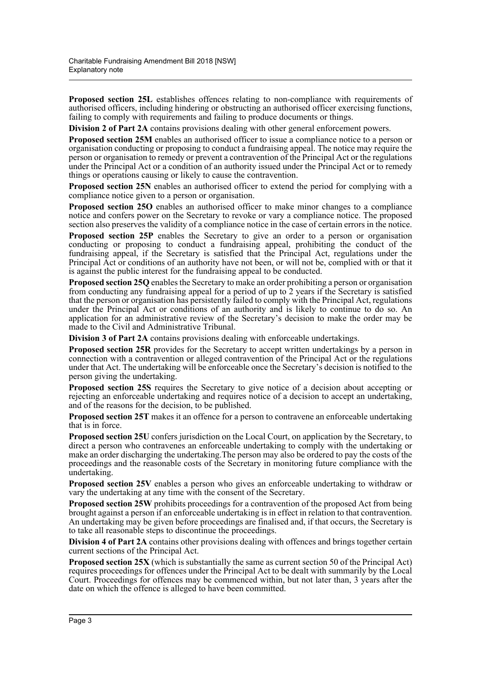**Proposed section 25L** establishes offences relating to non-compliance with requirements of authorised officers, including hindering or obstructing an authorised officer exercising functions, failing to comply with requirements and failing to produce documents or things.

**Division 2 of Part 2A** contains provisions dealing with other general enforcement powers.

**Proposed section 25M** enables an authorised officer to issue a compliance notice to a person or organisation conducting or proposing to conduct a fundraising appeal. The notice may require the person or organisation to remedy or prevent a contravention of the Principal Act or the regulations under the Principal Act or a condition of an authority issued under the Principal Act or to remedy things or operations causing or likely to cause the contravention.

**Proposed section 25N** enables an authorised officer to extend the period for complying with a compliance notice given to a person or organisation.

**Proposed section 25O** enables an authorised officer to make minor changes to a compliance notice and confers power on the Secretary to revoke or vary a compliance notice. The proposed section also preserves the validity of a compliance notice in the case of certain errors in the notice.

**Proposed section 25P** enables the Secretary to give an order to a person or organisation conducting or proposing to conduct a fundraising appeal, prohibiting the conduct of the fundraising appeal, if the Secretary is satisfied that the Principal Act, regulations under the Principal Act or conditions of an authority have not been, or will not be, complied with or that it is against the public interest for the fundraising appeal to be conducted.

**Proposed section 25Q** enables the Secretary to make an order prohibiting a person or organisation from conducting any fundraising appeal for a period of up to 2 years if the Secretary is satisfied that the person or organisation has persistently failed to comply with the Principal Act, regulations under the Principal Act or conditions of an authority and is likely to continue to do so. An application for an administrative review of the Secretary's decision to make the order may be made to the Civil and Administrative Tribunal.

**Division 3 of Part 2A** contains provisions dealing with enforceable undertakings.

**Proposed section 25R** provides for the Secretary to accept written undertakings by a person in connection with a contravention or alleged contravention of the Principal Act or the regulations under that Act. The undertaking will be enforceable once the Secretary's decision is notified to the person giving the undertaking.

**Proposed section 25S** requires the Secretary to give notice of a decision about accepting or rejecting an enforceable undertaking and requires notice of a decision to accept an undertaking, and of the reasons for the decision, to be published.

**Proposed section 25T** makes it an offence for a person to contravene an enforceable undertaking that is in force.

**Proposed section 25U** confers jurisdiction on the Local Court, on application by the Secretary, to direct a person who contravenes an enforceable undertaking to comply with the undertaking or make an order discharging the undertaking.The person may also be ordered to pay the costs of the proceedings and the reasonable costs of the Secretary in monitoring future compliance with the undertaking.

**Proposed section 25V** enables a person who gives an enforceable undertaking to withdraw or vary the undertaking at any time with the consent of the Secretary.

**Proposed section 25W** prohibits proceedings for a contravention of the proposed Act from being brought against a person if an enforceable undertaking is in effect in relation to that contravention. An undertaking may be given before proceedings are finalised and, if that occurs, the Secretary is to take all reasonable steps to discontinue the proceedings.

**Division 4 of Part 2A** contains other provisions dealing with offences and brings together certain current sections of the Principal Act.

**Proposed section 25X** (which is substantially the same as current section 50 of the Principal Act) requires proceedings for offences under the Principal Act to be dealt with summarily by the Local Court. Proceedings for offences may be commenced within, but not later than, 3 years after the date on which the offence is alleged to have been committed.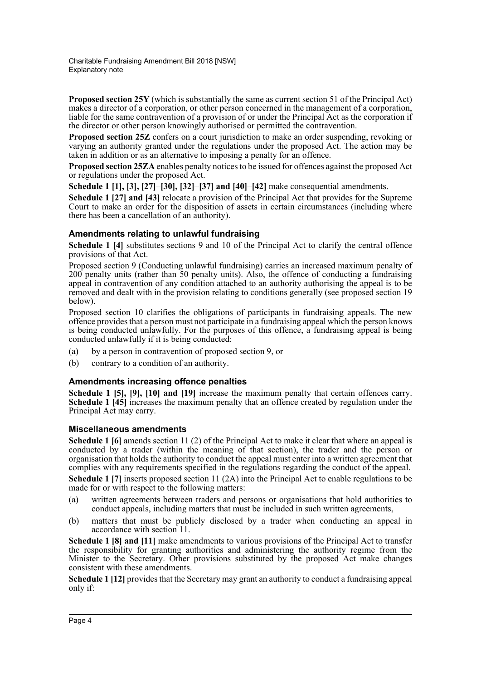**Proposed section 25Y** (which is substantially the same as current section 51 of the Principal Act) makes a director of a corporation, or other person concerned in the management of a corporation, liable for the same contravention of a provision of or under the Principal Act as the corporation if the director or other person knowingly authorised or permitted the contravention.

**Proposed section 25Z** confers on a court jurisdiction to make an order suspending, revoking or varying an authority granted under the regulations under the proposed Act. The action may be taken in addition or as an alternative to imposing a penalty for an offence.

**Proposed section 25ZA** enables penalty notices to be issued for offences against the proposed Act or regulations under the proposed Act.

**Schedule 1 [1], [3], [27]–[30], [32]–[37] and [40]–[42]** make consequential amendments.

**Schedule 1 [27] and [43]** relocate a provision of the Principal Act that provides for the Supreme Court to make an order for the disposition of assets in certain circumstances (including where there has been a cancellation of an authority).

#### **Amendments relating to unlawful fundraising**

**Schedule 1 [4]** substitutes sections 9 and 10 of the Principal Act to clarify the central offence provisions of that Act.

Proposed section 9 (Conducting unlawful fundraising) carries an increased maximum penalty of 200 penalty units (rather than 50 penalty units). Also, the offence of conducting a fundraising appeal in contravention of any condition attached to an authority authorising the appeal is to be removed and dealt with in the provision relating to conditions generally (see proposed section 19 below).

Proposed section 10 clarifies the obligations of participants in fundraising appeals. The new offence provides that a person must not participate in a fundraising appeal which the person knows is being conducted unlawfully. For the purposes of this offence, a fundraising appeal is being conducted unlawfully if it is being conducted:

- (a) by a person in contravention of proposed section 9, or
- (b) contrary to a condition of an authority.

#### **Amendments increasing offence penalties**

**Schedule 1 [5], [9], [10] and [19]** increase the maximum penalty that certain offences carry. **Schedule 1 [45]** increases the maximum penalty that an offence created by regulation under the Principal Act may carry.

#### **Miscellaneous amendments**

**Schedule 1 [6]** amends section 11 (2) of the Principal Act to make it clear that where an appeal is conducted by a trader (within the meaning of that section), the trader and the person or organisation that holds the authority to conduct the appeal must enter into a written agreement that complies with any requirements specified in the regulations regarding the conduct of the appeal.

**Schedule 1** [7] inserts proposed section 11 (2A) into the Principal Act to enable regulations to be made for or with respect to the following matters:

- (a) written agreements between traders and persons or organisations that hold authorities to conduct appeals, including matters that must be included in such written agreements,
- (b) matters that must be publicly disclosed by a trader when conducting an appeal in accordance with section 11.

**Schedule 1 [8] and [11]** make amendments to various provisions of the Principal Act to transfer the responsibility for granting authorities and administering the authority regime from the Minister to the Secretary. Other provisions substituted by the proposed Act make changes consistent with these amendments.

**Schedule 1 [12]** provides that the Secretary may grant an authority to conduct a fundraising appeal only if: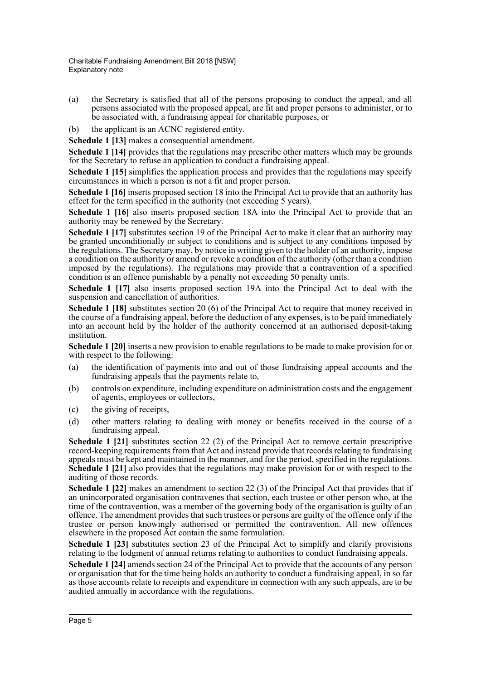- (a) the Secretary is satisfied that all of the persons proposing to conduct the appeal, and all persons associated with the proposed appeal, are fit and proper persons to administer, or to be associated with, a fundraising appeal for charitable purposes, or
- (b) the applicant is an ACNC registered entity.

**Schedule 1 [13]** makes a consequential amendment.

**Schedule 1 [14]** provides that the regulations may prescribe other matters which may be grounds for the Secretary to refuse an application to conduct a fundraising appeal.

**Schedule 1 [15]** simplifies the application process and provides that the regulations may specify circumstances in which a person is not a fit and proper person.

**Schedule 1 [16]** inserts proposed section 18 into the Principal Act to provide that an authority has effect for the term specified in the authority (not exceeding 5 years).

**Schedule 1 [16]** also inserts proposed section 18A into the Principal Act to provide that an authority may be renewed by the Secretary.

**Schedule 1 [17]** substitutes section 19 of the Principal Act to make it clear that an authority may be granted unconditionally or subject to conditions and is subject to any conditions imposed by the regulations. The Secretary may, by notice in writing given to the holder of an authority, impose a condition on the authority or amend or revoke a condition of the authority (other than a condition imposed by the regulations). The regulations may provide that a contravention of a specified condition is an offence punishable by a penalty not exceeding 50 penalty units.

**Schedule 1 [17]** also inserts proposed section 19A into the Principal Act to deal with the suspension and cancellation of authorities.

**Schedule 1 [18]** substitutes section 20 (6) of the Principal Act to require that money received in the course of a fundraising appeal, before the deduction of any expenses, is to be paid immediately into an account held by the holder of the authority concerned at an authorised deposit-taking institution.

**Schedule 1 [20]** inserts a new provision to enable regulations to be made to make provision for or with respect to the following:

- (a) the identification of payments into and out of those fundraising appeal accounts and the fundraising appeals that the payments relate to,
- (b) controls on expenditure, including expenditure on administration costs and the engagement of agents, employees or collectors,
- (c) the giving of receipts,
- (d) other matters relating to dealing with money or benefits received in the course of a fundraising appeal.

**Schedule 1 [21]** substitutes section 22 (2) of the Principal Act to remove certain prescriptive record-keeping requirements from that Act and instead provide that records relating to fundraising appeals must be kept and maintained in the manner, and for the period, specified in the regulations. **Schedule 1 [21]** also provides that the regulations may make provision for or with respect to the auditing of those records.

**Schedule 1 [22]** makes an amendment to section 22 (3) of the Principal Act that provides that if an unincorporated organisation contravenes that section, each trustee or other person who, at the time of the contravention, was a member of the governing body of the organisation is guilty of an offence. The amendment provides that such trustees or persons are guilty of the offence only if the trustee or person knowingly authorised or permitted the contravention. All new offences elsewhere in the proposed Act contain the same formulation.

**Schedule 1 [23]** substitutes section 23 of the Principal Act to simplify and clarify provisions relating to the lodgment of annual returns relating to authorities to conduct fundraising appeals.

**Schedule 1 [24]** amends section 24 of the Principal Act to provide that the accounts of any person or organisation that for the time being holds an authority to conduct a fundraising appeal, in so far as those accounts relate to receipts and expenditure in connection with any such appeals, are to be audited annually in accordance with the regulations.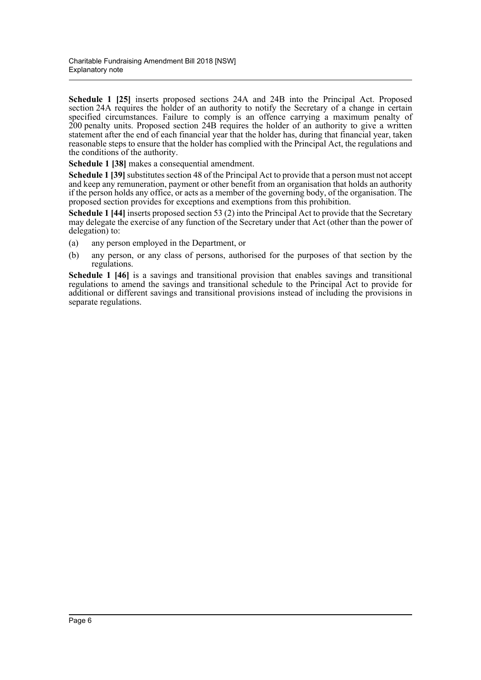**Schedule 1 [25]** inserts proposed sections 24A and 24B into the Principal Act. Proposed section 24A requires the holder of an authority to notify the Secretary of a change in certain specified circumstances. Failure to comply is an offence carrying a maximum penalty of 200 penalty units. Proposed section 24B requires the holder of an authority to give a written statement after the end of each financial year that the holder has, during that financial year, taken reasonable steps to ensure that the holder has complied with the Principal Act, the regulations and the conditions of the authority.

**Schedule 1 [38]** makes a consequential amendment.

**Schedule 1 [39]** substitutes section 48 of the Principal Act to provide that a person must not accept and keep any remuneration, payment or other benefit from an organisation that holds an authority if the person holds any office, or acts as a member of the governing body, of the organisation. The proposed section provides for exceptions and exemptions from this prohibition.

**Schedule 1 [44]** inserts proposed section 53 (2) into the Principal Act to provide that the Secretary may delegate the exercise of any function of the Secretary under that Act (other than the power of delegation) to:

- (a) any person employed in the Department, or
- (b) any person, or any class of persons, authorised for the purposes of that section by the regulations.

**Schedule 1 [46]** is a savings and transitional provision that enables savings and transitional regulations to amend the savings and transitional schedule to the Principal Act to provide for additional or different savings and transitional provisions instead of including the provisions in separate regulations.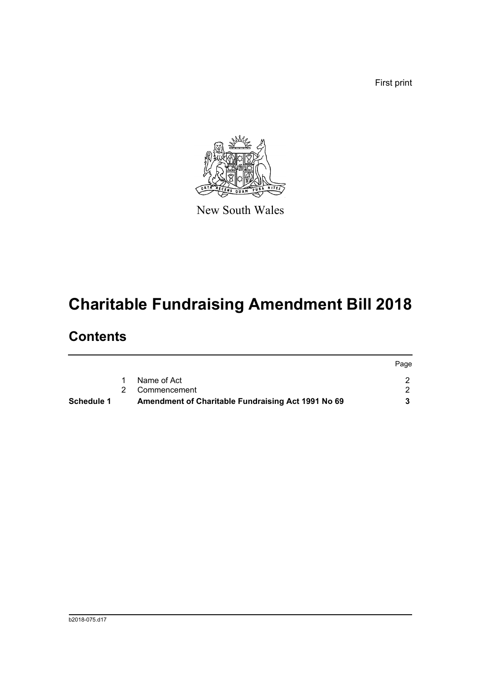First print



New South Wales

# **Charitable Fundraising Amendment Bill 2018**

### **Contents**

| Schedule 1 | Amendment of Charitable Fundraising Act 1991 No 69 |      |
|------------|----------------------------------------------------|------|
|            | 2 Commencement                                     |      |
|            | Name of Act                                        |      |
|            |                                                    | Page |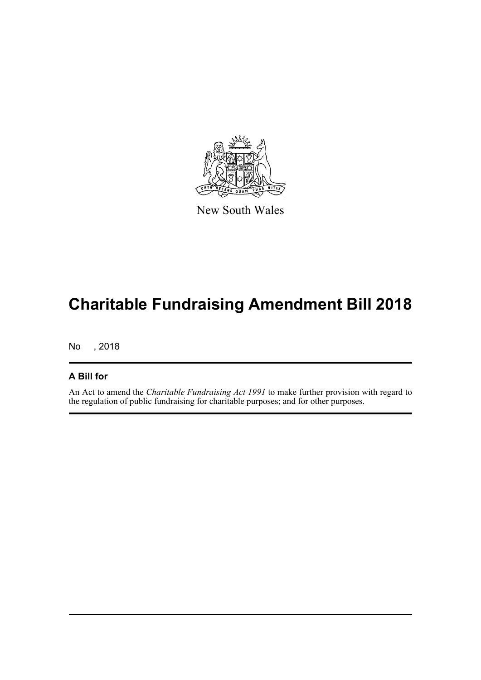

New South Wales

# **Charitable Fundraising Amendment Bill 2018**

No , 2018

#### **A Bill for**

An Act to amend the *Charitable Fundraising Act 1991* to make further provision with regard to the regulation of public fundraising for charitable purposes; and for other purposes.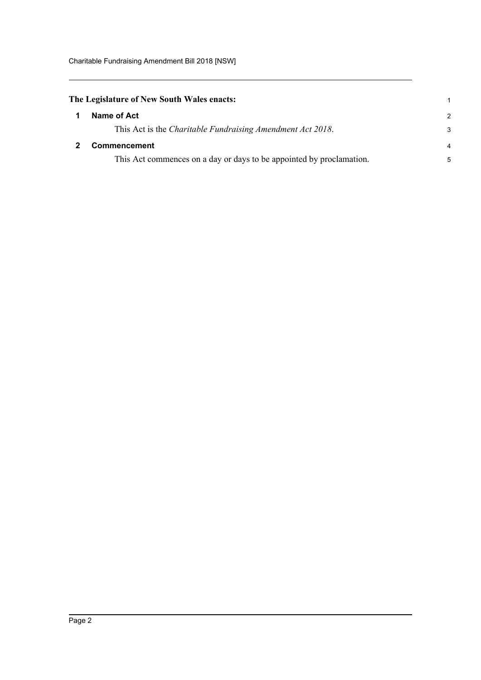### <span id="page-8-0"></span>**The Legislature of New South Wales enacts:** 1

<span id="page-8-1"></span>

| $\mathbf 1$  | Name of Act                                                          | r |
|--------------|----------------------------------------------------------------------|---|
|              | This Act is the <i>Charitable Fundraising Amendment Act 2018</i> .   |   |
| $\mathbf{2}$ | <b>Commencement</b>                                                  |   |
|              | This Act commences on a day or days to be appointed by proclamation. |   |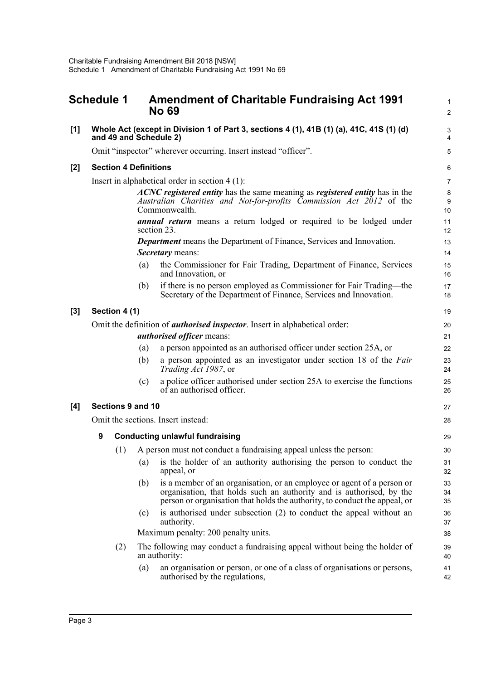<span id="page-9-0"></span>

|     | <b>Schedule 1</b>                                                                  |                              |     | <b>Amendment of Charitable Fundraising Act 1991</b><br><b>No 69</b>                                                                                                                                                          |                |  |  |
|-----|------------------------------------------------------------------------------------|------------------------------|-----|------------------------------------------------------------------------------------------------------------------------------------------------------------------------------------------------------------------------------|----------------|--|--|
| [1] |                                                                                    |                              |     | Whole Act (except in Division 1 of Part 3, sections 4 (1), 41B (1) (a), 41C, 41S (1) (d)<br>and 49 and Schedule 2)                                                                                                           |                |  |  |
|     |                                                                                    |                              |     | Omit "inspector" wherever occurring. Insert instead "officer".                                                                                                                                                               |                |  |  |
| [2] |                                                                                    | <b>Section 4 Definitions</b> |     |                                                                                                                                                                                                                              |                |  |  |
|     |                                                                                    |                              |     | Insert in alphabetical order in section $4(1)$ :                                                                                                                                                                             |                |  |  |
|     |                                                                                    |                              |     | ACNC registered entity has the same meaning as registered entity has in the<br>Australian Charities and Not-for-profits Commission Act 2012 of the<br>Commonwealth.                                                          | 10             |  |  |
|     |                                                                                    |                              |     | <b>annual return</b> means a return lodged or required to be lodged under<br>section 23.                                                                                                                                     | 11<br>12       |  |  |
|     |                                                                                    |                              |     | <b>Department</b> means the Department of Finance, Services and Innovation.<br>Secretary means:                                                                                                                              | 13<br>14       |  |  |
|     |                                                                                    |                              | (a) | the Commissioner for Fair Trading, Department of Finance, Services<br>and Innovation, or                                                                                                                                     | 15<br>16       |  |  |
|     |                                                                                    |                              | (b) | if there is no person employed as Commissioner for Fair Trading—the<br>Secretary of the Department of Finance, Services and Innovation.                                                                                      | 17<br>18       |  |  |
| [3] |                                                                                    | Section 4 (1)                |     |                                                                                                                                                                                                                              | 1 <sup>c</sup> |  |  |
|     | Omit the definition of <i>authorised inspector</i> . Insert in alphabetical order: |                              |     |                                                                                                                                                                                                                              |                |  |  |
|     |                                                                                    |                              |     | <i>authorised officer means:</i>                                                                                                                                                                                             | 21             |  |  |
|     |                                                                                    |                              | (a) | a person appointed as an authorised officer under section 25A, or                                                                                                                                                            | 22             |  |  |
|     |                                                                                    |                              | (b) | a person appointed as an investigator under section 18 of the Fair<br>Trading Act 1987, or                                                                                                                                   | 23<br>24       |  |  |
|     |                                                                                    |                              | (c) | a police officer authorised under section 25A to exercise the functions<br>of an authorised officer.                                                                                                                         | 25<br>26       |  |  |
| [4] | Sections 9 and 10                                                                  |                              |     |                                                                                                                                                                                                                              |                |  |  |
|     | Omit the sections. Insert instead:                                                 |                              |     |                                                                                                                                                                                                                              |                |  |  |
|     | 9                                                                                  |                              |     | <b>Conducting unlawful fundraising</b>                                                                                                                                                                                       | 29             |  |  |
|     |                                                                                    | (1)                          |     | A person must not conduct a fundraising appeal unless the person:                                                                                                                                                            | 3 <sub>C</sub> |  |  |
|     |                                                                                    |                              | (a) | is the holder of an authority authorising the person to conduct the<br>appeal, or                                                                                                                                            | 31<br>32       |  |  |
|     |                                                                                    |                              | (b) | is a member of an organisation, or an employee or agent of a person or<br>organisation, that holds such an authority and is authorised, by the<br>person or organisation that holds the authority, to conduct the appeal, or | 33<br>34<br>35 |  |  |
|     |                                                                                    |                              | (c) | is authorised under subsection (2) to conduct the appeal without an<br>authority.                                                                                                                                            | 36<br>37       |  |  |
|     |                                                                                    |                              |     | Maximum penalty: 200 penalty units.                                                                                                                                                                                          | 38             |  |  |
|     |                                                                                    | (2)                          |     | The following may conduct a fundraising appeal without being the holder of<br>an authority:                                                                                                                                  | 39<br>40       |  |  |
|     |                                                                                    |                              | (a) | an organisation or person, or one of a class of organisations or persons,<br>authorised by the regulations,                                                                                                                  | 41<br>42       |  |  |
|     |                                                                                    |                              |     |                                                                                                                                                                                                                              |                |  |  |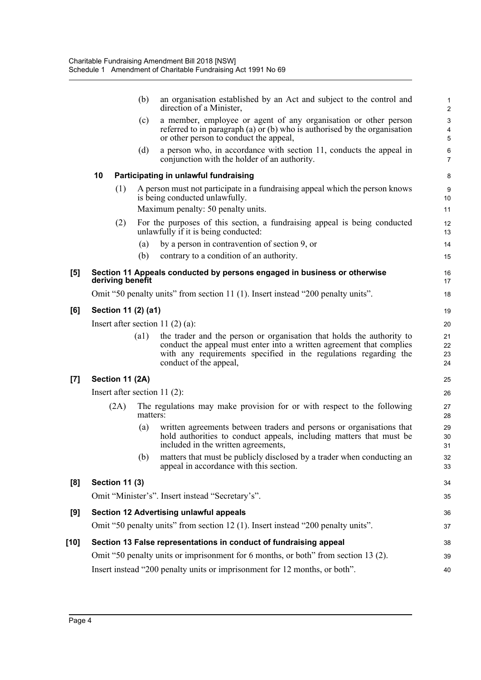|                  |                                                                            |                       | (b)                 | an organisation established by an Act and subject to the control and<br>direction of a Minister,                                                                                                                                            | $\mathbf{1}$<br>$\overline{c}$               |  |  |
|------------------|----------------------------------------------------------------------------|-----------------------|---------------------|---------------------------------------------------------------------------------------------------------------------------------------------------------------------------------------------------------------------------------------------|----------------------------------------------|--|--|
|                  |                                                                            |                       | (c)                 | a member, employee or agent of any organisation or other person<br>referred to in paragraph (a) or (b) who is authorised by the organisation<br>or other person to conduct the appeal,                                                      | $\mathbf{3}$<br>$\overline{\mathbf{4}}$<br>5 |  |  |
|                  |                                                                            |                       | (d)                 | a person who, in accordance with section 11, conducts the appeal in<br>conjunction with the holder of an authority.                                                                                                                         | 6<br>$\overline{7}$                          |  |  |
|                  | 10                                                                         |                       |                     | Participating in unlawful fundraising                                                                                                                                                                                                       | 8                                            |  |  |
|                  |                                                                            | (1)                   |                     | A person must not participate in a fundraising appeal which the person knows<br>is being conducted unlawfully.<br>Maximum penalty: 50 penalty units.                                                                                        | 9<br>10<br>11                                |  |  |
|                  |                                                                            | (2)                   |                     | For the purposes of this section, a fundraising appeal is being conducted<br>unlawfully if it is being conducted:                                                                                                                           | 12<br>13                                     |  |  |
|                  |                                                                            |                       | (a)                 | by a person in contravention of section 9, or                                                                                                                                                                                               | 14                                           |  |  |
|                  |                                                                            |                       | (b)                 | contrary to a condition of an authority.                                                                                                                                                                                                    | 15                                           |  |  |
| [5]              |                                                                            | deriving benefit      |                     | Section 11 Appeals conducted by persons engaged in business or otherwise                                                                                                                                                                    | 16<br>17                                     |  |  |
|                  |                                                                            |                       |                     | Omit "50 penalty units" from section 11 (1). Insert instead "200 penalty units".                                                                                                                                                            | 18                                           |  |  |
| [6]              |                                                                            |                       | Section 11 (2) (a1) |                                                                                                                                                                                                                                             | 19                                           |  |  |
|                  | Insert after section 11 $(2)$ $(a)$ :                                      |                       |                     |                                                                                                                                                                                                                                             |                                              |  |  |
|                  |                                                                            |                       | $\left( a1\right)$  | the trader and the person or organisation that holds the authority to<br>conduct the appeal must enter into a written agreement that complies<br>with any requirements specified in the regulations regarding the<br>conduct of the appeal, | 21<br>22<br>23<br>24                         |  |  |
| $\left[7\right]$ |                                                                            | Section 11 (2A)       |                     |                                                                                                                                                                                                                                             | 25                                           |  |  |
|                  |                                                                            |                       |                     | Insert after section $11(2)$ :                                                                                                                                                                                                              | 26                                           |  |  |
|                  |                                                                            | (2A)                  | matters:            | The regulations may make provision for or with respect to the following                                                                                                                                                                     | 27<br>28                                     |  |  |
|                  |                                                                            |                       | (a)                 | written agreements between traders and persons or organisations that<br>hold authorities to conduct appeals, including matters that must be<br>included in the written agreements,                                                          | 29<br>30<br>31                               |  |  |
|                  |                                                                            |                       | (b)                 | matters that must be publicly disclosed by a trader when conducting an<br>appeal in accordance with this section.                                                                                                                           | 32<br>33                                     |  |  |
| [8]              |                                                                            | <b>Section 11 (3)</b> |                     |                                                                                                                                                                                                                                             | 34                                           |  |  |
|                  |                                                                            |                       |                     | Omit "Minister's". Insert instead "Secretary's".                                                                                                                                                                                            | 35                                           |  |  |
| [9]              |                                                                            |                       |                     | Section 12 Advertising unlawful appeals                                                                                                                                                                                                     | 36                                           |  |  |
|                  |                                                                            |                       |                     | Omit "50 penalty units" from section 12 (1). Insert instead "200 penalty units".                                                                                                                                                            | 37                                           |  |  |
| [10]             |                                                                            |                       |                     | Section 13 False representations in conduct of fundraising appeal                                                                                                                                                                           | 38                                           |  |  |
|                  |                                                                            |                       |                     | Omit "50 penalty units or imprisonment for 6 months, or both" from section 13 (2).                                                                                                                                                          | 39                                           |  |  |
|                  | Insert instead "200 penalty units or imprisonment for 12 months, or both". |                       |                     |                                                                                                                                                                                                                                             |                                              |  |  |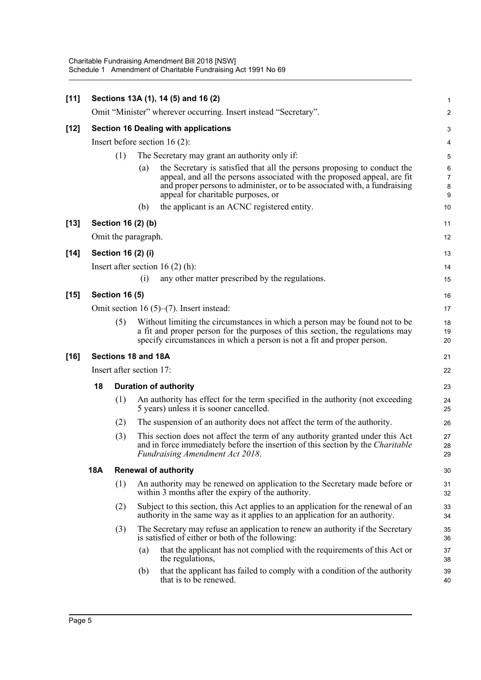| $[11]$ |                          |                                 |                   | Sections 13A (1), 14 (5) and 16 (2)                                                                                                                                                                                                                                     |                      |  |  |  |
|--------|--------------------------|---------------------------------|-------------------|-------------------------------------------------------------------------------------------------------------------------------------------------------------------------------------------------------------------------------------------------------------------------|----------------------|--|--|--|
|        |                          |                                 |                   | Omit "Minister" wherever occurring. Insert instead "Secretary".                                                                                                                                                                                                         | 2                    |  |  |  |
| $[12]$ |                          |                                 |                   | <b>Section 16 Dealing with applications</b>                                                                                                                                                                                                                             |                      |  |  |  |
|        |                          | Insert before section $16(2)$ : |                   |                                                                                                                                                                                                                                                                         |                      |  |  |  |
|        | (1)                      |                                 |                   | The Secretary may grant an authority only if:                                                                                                                                                                                                                           | 5                    |  |  |  |
|        |                          |                                 | $\left( a\right)$ | the Secretary is satisfied that all the persons proposing to conduct the<br>appeal, and all the persons associated with the proposed appeal, are fit<br>and proper persons to administer, or to be associated with, a fundraising<br>appeal for charitable purposes, or | $\epsilon$<br>7<br>ε |  |  |  |
|        |                          |                                 | (b)               | the applicant is an ACNC registered entity.                                                                                                                                                                                                                             | 10                   |  |  |  |
| $[13]$ |                          | Section 16 (2) (b)              |                   |                                                                                                                                                                                                                                                                         | 11                   |  |  |  |
|        |                          | Omit the paragraph.             |                   |                                                                                                                                                                                                                                                                         | 12                   |  |  |  |
| $[14]$ |                          | Section 16 (2) (i)              |                   |                                                                                                                                                                                                                                                                         | 13                   |  |  |  |
|        |                          |                                 |                   | Insert after section 16 $(2)$ (h):                                                                                                                                                                                                                                      | 14                   |  |  |  |
|        |                          |                                 | (i)               | any other matter prescribed by the regulations.                                                                                                                                                                                                                         | 15                   |  |  |  |
| $[15]$ |                          | <b>Section 16 (5)</b>           |                   |                                                                                                                                                                                                                                                                         | 16                   |  |  |  |
|        |                          |                                 |                   | Omit section 16 $(5)$ – $(7)$ . Insert instead:                                                                                                                                                                                                                         | 17                   |  |  |  |
|        |                          | (5)                             |                   | Without limiting the circumstances in which a person may be found not to be<br>a fit and proper person for the purposes of this section, the regulations may<br>specify circumstances in which a person is not a fit and proper person.                                 | 18<br>19<br>20       |  |  |  |
| [16]   | Sections 18 and 18A      |                                 |                   |                                                                                                                                                                                                                                                                         |                      |  |  |  |
|        | Insert after section 17: |                                 |                   |                                                                                                                                                                                                                                                                         |                      |  |  |  |
|        | 18                       |                                 |                   | <b>Duration of authority</b>                                                                                                                                                                                                                                            | 23                   |  |  |  |
|        |                          | (1)                             |                   | An authority has effect for the term specified in the authority (not exceeding<br>5 years) unless it is sooner cancelled.                                                                                                                                               | 24<br>25             |  |  |  |
|        |                          | (2)                             |                   | The suspension of an authority does not affect the term of the authority.                                                                                                                                                                                               | 26                   |  |  |  |
|        |                          | (3)                             |                   | This section does not affect the term of any authority granted under this Act<br>and in force immediately before the insertion of this section by the <i>Charitable</i><br>Fundraising Amendment Act 2018.                                                              | 27<br>28<br>29       |  |  |  |
|        | <b>18A</b>               |                                 |                   | <b>Renewal of authority</b>                                                                                                                                                                                                                                             | 30                   |  |  |  |
|        |                          | (1)                             |                   | An authority may be renewed on application to the Secretary made before or<br>within 3 months after the expiry of the authority.                                                                                                                                        | 31<br>32             |  |  |  |
|        |                          | (2)                             |                   | Subject to this section, this Act applies to an application for the renewal of an<br>authority in the same way as it applies to an application for an authority.                                                                                                        | 33<br>34             |  |  |  |
|        |                          | (3)                             |                   | The Secretary may refuse an application to renew an authority if the Secretary<br>is satisfied of either or both of the following:                                                                                                                                      | 35<br>36             |  |  |  |
|        |                          |                                 | (a)               | that the applicant has not complied with the requirements of this Act or<br>the regulations,                                                                                                                                                                            | 37<br>38             |  |  |  |
|        |                          |                                 | (b)               | that the applicant has failed to comply with a condition of the authority<br>that is to be renewed.                                                                                                                                                                     | 39<br>40             |  |  |  |
|        |                          |                                 |                   |                                                                                                                                                                                                                                                                         |                      |  |  |  |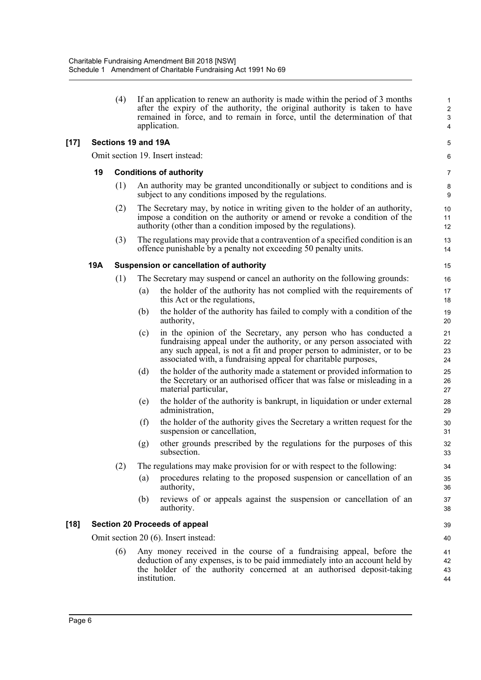(4) If an application to renew an authority is made within the period of 3 months 1 after the expiry of the authority, the original authority is taken to have 2 remained in force, and to remain in force, until the determination of that 3 application. 4

#### **[17] Sections 19 and 19A** 5

Omit section 19. Insert instead: 6

#### **19 Conditions of authority** 7

- (1) An authority may be granted unconditionally or subject to conditions and is 8 subject to any conditions imposed by the regulations.
- (2) The Secretary may, by notice in writing given to the holder of an authority, 10 impose a condition on the authority or amend or revoke a condition of the 11 authority (other than a condition imposed by the regulations). 12
- (3) The regulations may provide that a contravention of a specified condition is an 13 offence punishable by a penalty not exceeding 50 penalty units. 14

#### **19A Suspension or cancellation of authority** 15

- (1) The Secretary may suspend or cancel an authority on the following grounds: 16
	- (a) the holder of the authority has not complied with the requirements of 17 this Act or the regulations, the 18 separation of the regulations, the 18 separation of the 18 separations, the 18 separation of the 18 separations, the 18 separation of the 18 separations, the 18 separation of the 18 sepa
	- (b) the holder of the authority has failed to comply with a condition of the 19 authority, 20
	- (c) in the opinion of the Secretary, any person who has conducted a 21 fundraising appeal under the authority, or any person associated with 22 any such appeal, is not a fit and proper person to administer, or to be 23 associated with, a fundraising appeal for charitable purposes, 24
	- (d) the holder of the authority made a statement or provided information to 25 the Secretary or an authorised officer that was false or misleading in a 26 material particular, 27
	- (e) the holder of the authority is bankrupt, in liquidation or under external 28 administration, 29
	- (f) the holder of the authority gives the Secretary a written request for the 30 suspension or cancellation, 31
	- (g) other grounds prescribed by the regulations for the purposes of this 32 subsection. 33
- (2) The regulations may make provision for or with respect to the following: 34
	- (a) procedures relating to the proposed suspension or cancellation of an 35 authority, 36
	- (b) reviews of or appeals against the suspension or cancellation of an 37 authority. The contract of the contract of the contract of the contract of the contract of the contract of the contract of the contract of the contract of the contract of the contract of the contract of the contract of the

#### **[18] Section 20 Proceeds of appeal** 39

Omit section 20 (6). Insert instead: 40

(6) Any money received in the course of a fundraising appeal, before the 41 deduction of any expenses, is to be paid immediately into an account held by 42 the holder of the authority concerned at an authorised deposit-taking 43 institution. 44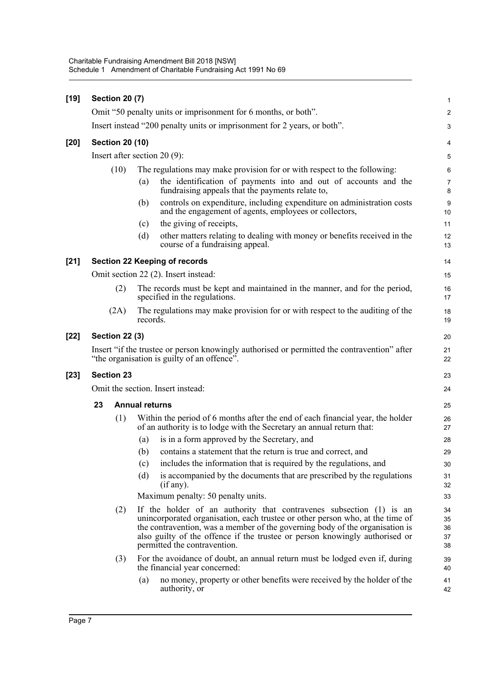| $[19]$ | <b>Section 20 (7)</b>             |                        |                                                                                                                                                                                                                                                                                                                                                     |                            |  |  |  |
|--------|-----------------------------------|------------------------|-----------------------------------------------------------------------------------------------------------------------------------------------------------------------------------------------------------------------------------------------------------------------------------------------------------------------------------------------------|----------------------------|--|--|--|
|        |                                   |                        | Omit "50 penalty units or imprisonment for 6 months, or both".                                                                                                                                                                                                                                                                                      | $\overline{c}$             |  |  |  |
|        |                                   |                        | Insert instead "200 penalty units or imprisonment for 2 years, or both".                                                                                                                                                                                                                                                                            | 3                          |  |  |  |
| $[20]$ |                                   | <b>Section 20 (10)</b> |                                                                                                                                                                                                                                                                                                                                                     | 4                          |  |  |  |
|        | Insert after section $20(9)$ :    |                        |                                                                                                                                                                                                                                                                                                                                                     |                            |  |  |  |
|        | (10)                              |                        | The regulations may make provision for or with respect to the following:                                                                                                                                                                                                                                                                            |                            |  |  |  |
|        |                                   |                        | the identification of payments into and out of accounts and the<br>(a)<br>fundraising appeals that the payments relate to,                                                                                                                                                                                                                          | 7<br>8                     |  |  |  |
|        |                                   |                        | controls on expenditure, including expenditure on administration costs<br>(b)<br>and the engagement of agents, employees or collectors,                                                                                                                                                                                                             | 9<br>10                    |  |  |  |
|        |                                   |                        | the giving of receipts,<br>(c)                                                                                                                                                                                                                                                                                                                      | 11                         |  |  |  |
|        |                                   |                        | (d)<br>other matters relating to dealing with money or benefits received in the<br>course of a fundraising appeal.                                                                                                                                                                                                                                  | 12<br>13                   |  |  |  |
| $[21]$ |                                   |                        | <b>Section 22 Keeping of records</b>                                                                                                                                                                                                                                                                                                                | 14                         |  |  |  |
|        |                                   |                        | Omit section 22 (2). Insert instead:                                                                                                                                                                                                                                                                                                                | 15                         |  |  |  |
|        |                                   | (2)                    | The records must be kept and maintained in the manner, and for the period,<br>specified in the regulations.                                                                                                                                                                                                                                         | 16<br>17                   |  |  |  |
|        |                                   | (2A)                   | The regulations may make provision for or with respect to the auditing of the<br>records.                                                                                                                                                                                                                                                           | 18<br>19                   |  |  |  |
| $[22]$ |                                   | <b>Section 22 (3)</b>  |                                                                                                                                                                                                                                                                                                                                                     | 20                         |  |  |  |
|        |                                   |                        | Insert "if the trustee or person knowingly authorised or permitted the contravention" after<br>"the organisation is guilty of an offence".                                                                                                                                                                                                          | 21<br>22                   |  |  |  |
| $[23]$ | <b>Section 23</b>                 |                        |                                                                                                                                                                                                                                                                                                                                                     |                            |  |  |  |
|        | Omit the section. Insert instead: |                        |                                                                                                                                                                                                                                                                                                                                                     |                            |  |  |  |
|        | 23                                |                        | <b>Annual returns</b>                                                                                                                                                                                                                                                                                                                               | 25                         |  |  |  |
|        |                                   | (1)                    | Within the period of 6 months after the end of each financial year, the holder<br>of an authority is to lodge with the Secretary an annual return that:                                                                                                                                                                                             | 26<br>27                   |  |  |  |
|        |                                   |                        | is in a form approved by the Secretary, and<br>(a)                                                                                                                                                                                                                                                                                                  | 28                         |  |  |  |
|        |                                   |                        | (b)<br>contains a statement that the return is true and correct, and                                                                                                                                                                                                                                                                                | 29                         |  |  |  |
|        |                                   |                        | includes the information that is required by the regulations, and<br>(c)                                                                                                                                                                                                                                                                            | 30                         |  |  |  |
|        |                                   |                        | is accompanied by the documents that are prescribed by the regulations<br>(d)<br>(if any).                                                                                                                                                                                                                                                          | 31<br>32                   |  |  |  |
|        |                                   |                        | Maximum penalty: 50 penalty units.                                                                                                                                                                                                                                                                                                                  | 33                         |  |  |  |
|        |                                   | (2)                    | If the holder of an authority that contravenes subsection (1) is an<br>unincorporated organisation, each trustee or other person who, at the time of<br>the contravention, was a member of the governing body of the organisation is<br>also guilty of the offence if the trustee or person knowingly authorised or<br>permitted the contravention. | 34<br>35<br>36<br>37<br>38 |  |  |  |
|        |                                   | (3)                    | For the avoidance of doubt, an annual return must be lodged even if, during<br>the financial year concerned:                                                                                                                                                                                                                                        | 39<br>40                   |  |  |  |
|        |                                   |                        | no money, property or other benefits were received by the holder of the<br>(a)<br>authority, or                                                                                                                                                                                                                                                     | 41<br>42                   |  |  |  |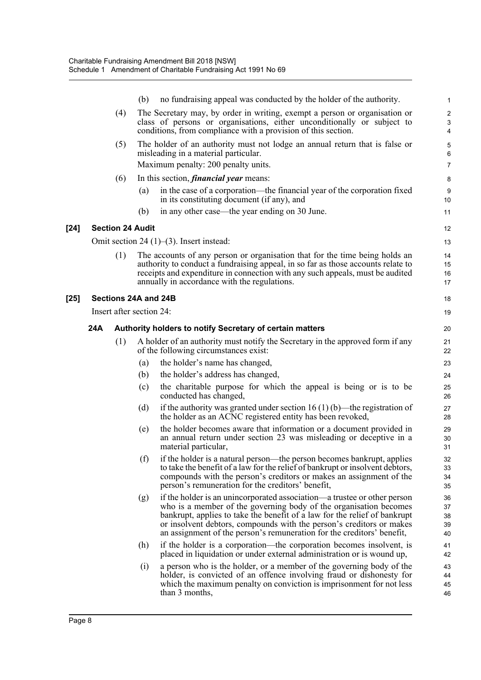|        |     |                         | (b)                      | no fundraising appeal was conducted by the holder of the authority.                                                                                                                                                                                                                                                                                                          |                            |
|--------|-----|-------------------------|--------------------------|------------------------------------------------------------------------------------------------------------------------------------------------------------------------------------------------------------------------------------------------------------------------------------------------------------------------------------------------------------------------------|----------------------------|
|        |     | (4)                     |                          | The Secretary may, by order in writing, exempt a person or organisation or<br>class of persons or organisations, either unconditionally or subject to<br>conditions, from compliance with a provision of this section.                                                                                                                                                       | 4                          |
|        |     | (5)                     |                          | The holder of an authority must not lodge an annual return that is false or<br>misleading in a material particular.<br>Maximum penalty: 200 penalty units.                                                                                                                                                                                                                   | ć<br>$\epsilon$<br>7       |
|        |     | (6)                     |                          | In this section, <i>financial year</i> means:                                                                                                                                                                                                                                                                                                                                | ε                          |
|        |     |                         | (a)                      | in the case of a corporation—the financial year of the corporation fixed<br>in its constituting document (if any), and                                                                                                                                                                                                                                                       | ς<br>10                    |
|        |     |                         | (b)                      | in any other case—the year ending on 30 June.                                                                                                                                                                                                                                                                                                                                | 11                         |
| $[24]$ |     | <b>Section 24 Audit</b> |                          |                                                                                                                                                                                                                                                                                                                                                                              | 12                         |
|        |     |                         |                          | Omit section 24 $(1)$ – $(3)$ . Insert instead:                                                                                                                                                                                                                                                                                                                              | 13                         |
|        |     | (1)                     |                          | The accounts of any person or organisation that for the time being holds an<br>authority to conduct a fundraising appeal, in so far as those accounts relate to<br>receipts and expenditure in connection with any such appeals, must be audited<br>annually in accordance with the regulations.                                                                             | 14<br>15<br>16<br>17       |
| $[25]$ |     |                         | Sections 24A and 24B     |                                                                                                                                                                                                                                                                                                                                                                              | 18                         |
|        |     |                         | Insert after section 24: |                                                                                                                                                                                                                                                                                                                                                                              | 19                         |
|        | 24A |                         |                          | Authority holders to notify Secretary of certain matters                                                                                                                                                                                                                                                                                                                     | 20                         |
|        |     | (1)                     |                          | A holder of an authority must notify the Secretary in the approved form if any<br>of the following circumstances exist:                                                                                                                                                                                                                                                      | 21<br>22                   |
|        |     |                         | (a)                      | the holder's name has changed,                                                                                                                                                                                                                                                                                                                                               | 23                         |
|        |     |                         | (b)                      | the holder's address has changed,                                                                                                                                                                                                                                                                                                                                            | 24                         |
|        |     |                         | (c)                      | the charitable purpose for which the appeal is being or is to be<br>conducted has changed,                                                                                                                                                                                                                                                                                   | 25<br>26                   |
|        |     |                         | (d)                      | if the authority was granted under section 16 (1) (b)—the registration of<br>the holder as an ACNC registered entity has been revoked,                                                                                                                                                                                                                                       | 27<br>28                   |
|        |     |                         | (e)                      | the holder becomes aware that information or a document provided in<br>an annual return under section 23 was misleading or deceptive in a<br>material particular,                                                                                                                                                                                                            | 29<br>30<br>31             |
|        |     |                         | (f)                      | if the holder is a natural person—the person becomes bankrupt, applies<br>to take the benefit of a law for the relief of bankrupt or insolvent debtors,<br>compounds with the person's creditors or makes an assignment of the<br>person's remuneration for the creditors' benefit,                                                                                          | 32<br>33<br>34<br>35       |
|        |     |                         | (g)                      | if the holder is an unincorporated association—a trustee or other person<br>who is a member of the governing body of the organisation becomes<br>bankrupt, applies to take the benefit of a law for the relief of bankrupt<br>or insolvent debtors, compounds with the person's creditors or makes<br>an assignment of the person's remuneration for the creditors' benefit, | 36<br>37<br>38<br>39<br>40 |
|        |     |                         | (h)                      | if the holder is a corporation—the corporation becomes insolvent, is<br>placed in liquidation or under external administration or is wound up,                                                                                                                                                                                                                               | 41<br>42                   |
|        |     |                         | (i)                      | a person who is the holder, or a member of the governing body of the<br>holder, is convicted of an offence involving fraud or dishonesty for<br>which the maximum penalty on conviction is imprisonment for not less<br>than 3 months,                                                                                                                                       | 43<br>44<br>45<br>46       |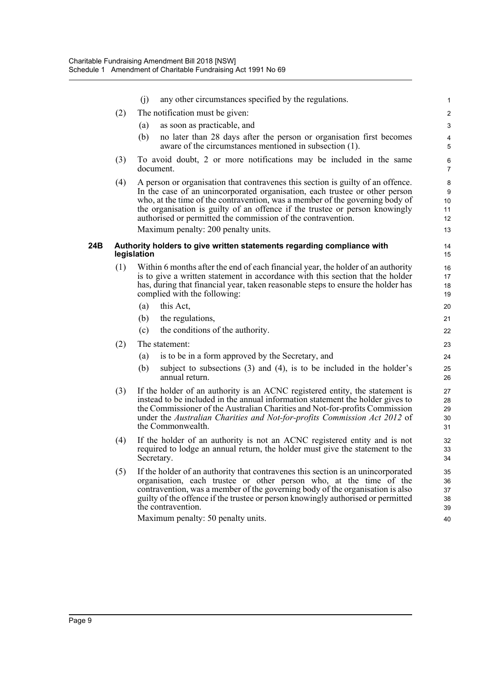|     |     | (i)         | any other circumstances specified by the regulations.                                                                                                                                                                                                                                                                                                                                                                                |                                |
|-----|-----|-------------|--------------------------------------------------------------------------------------------------------------------------------------------------------------------------------------------------------------------------------------------------------------------------------------------------------------------------------------------------------------------------------------------------------------------------------------|--------------------------------|
|     | (2) |             | The notification must be given:                                                                                                                                                                                                                                                                                                                                                                                                      | 2                              |
|     |     | (a)         | as soon as practicable, and                                                                                                                                                                                                                                                                                                                                                                                                          | 3                              |
|     |     | (b)         | no later than 28 days after the person or organisation first becomes<br>aware of the circumstances mentioned in subsection (1).                                                                                                                                                                                                                                                                                                      | 5                              |
|     | (3) |             | To avoid doubt, 2 or more notifications may be included in the same<br>document.                                                                                                                                                                                                                                                                                                                                                     | $\epsilon$<br>$\overline{7}$   |
|     | (4) |             | A person or organisation that contravenes this section is guilty of an offence.<br>In the case of an unincorporated organisation, each trustee or other person<br>who, at the time of the contravention, was a member of the governing body of<br>the organisation is guilty of an offence if the trustee or person knowingly<br>authorised or permitted the commission of the contravention.<br>Maximum penalty: 200 penalty units. | 8<br>g<br>10<br>11<br>12<br>13 |
| 24B |     | legislation | Authority holders to give written statements regarding compliance with                                                                                                                                                                                                                                                                                                                                                               | 14<br>15                       |
|     | (1) |             | Within 6 months after the end of each financial year, the holder of an authority<br>is to give a written statement in accordance with this section that the holder<br>has, during that financial year, taken reasonable steps to ensure the holder has<br>complied with the following:                                                                                                                                               | 16<br>17<br>18<br>19           |
|     |     | (a)         | this Act,                                                                                                                                                                                                                                                                                                                                                                                                                            | 20                             |
|     |     | (b)         | the regulations,                                                                                                                                                                                                                                                                                                                                                                                                                     | 21                             |
|     |     | (c)         | the conditions of the authority.                                                                                                                                                                                                                                                                                                                                                                                                     | 22                             |
|     | (2) |             | The statement:                                                                                                                                                                                                                                                                                                                                                                                                                       | 23                             |
|     |     | (a)         | is to be in a form approved by the Secretary, and                                                                                                                                                                                                                                                                                                                                                                                    | 24                             |
|     |     | (b)         | subject to subsections $(3)$ and $(4)$ , is to be included in the holder's<br>annual return.                                                                                                                                                                                                                                                                                                                                         | 25<br>26                       |
|     | (3) |             | If the holder of an authority is an ACNC registered entity, the statement is<br>instead to be included in the annual information statement the holder gives to<br>the Commissioner of the Australian Charities and Not-for-profits Commission<br>under the Australian Charities and Not-for-profits Commission Act 2012 of<br>the Commonwealth.                                                                                      | 27<br>28<br>29<br>30<br>31     |
|     | (4) |             | If the holder of an authority is not an ACNC registered entity and is not<br>required to lodge an annual return, the holder must give the statement to the<br>Secretary.                                                                                                                                                                                                                                                             | 32<br>33<br>34                 |
|     | (5) |             | If the holder of an authority that contravenes this section is an unincorporated<br>organisation, each trustee or other person who, at the time of the<br>contravention, was a member of the governing body of the organisation is also<br>guilty of the offence if the trustee or person knowingly authorised or permitted<br>the contravention.                                                                                    | 35<br>36<br>37<br>38<br>39     |
|     |     |             | Maximum penalty: 50 penalty units.                                                                                                                                                                                                                                                                                                                                                                                                   | 40                             |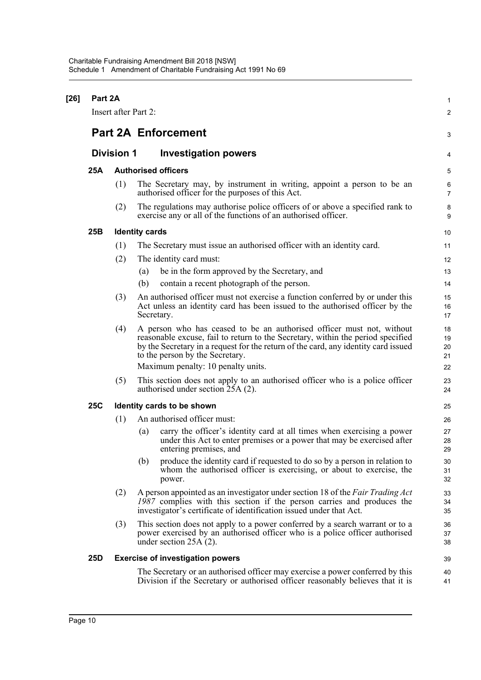| Part 2A<br>Insert after Part 2: |                   |                       |                                                                                                                                                                                                                                                                                   |                                  |  |  |
|---------------------------------|-------------------|-----------------------|-----------------------------------------------------------------------------------------------------------------------------------------------------------------------------------------------------------------------------------------------------------------------------------|----------------------------------|--|--|
|                                 |                   |                       | <b>Part 2A Enforcement</b>                                                                                                                                                                                                                                                        | 2<br>З                           |  |  |
|                                 | <b>Division 1</b> |                       | <b>Investigation powers</b>                                                                                                                                                                                                                                                       |                                  |  |  |
| 25A                             |                   |                       | <b>Authorised officers</b>                                                                                                                                                                                                                                                        | 5                                |  |  |
|                                 | (1)               |                       | The Secretary may, by instrument in writing, appoint a person to be an<br>authorised officer for the purposes of this Act.                                                                                                                                                        | $\epsilon$<br>7                  |  |  |
|                                 | (2)               |                       | The regulations may authorise police officers of or above a specified rank to<br>exercise any or all of the functions of an authorised officer.                                                                                                                                   | ξ<br>ξ                           |  |  |
| 25B                             |                   | <b>Identity cards</b> |                                                                                                                                                                                                                                                                                   | 10                               |  |  |
|                                 | (1)               |                       | The Secretary must issue an authorised officer with an identity card.                                                                                                                                                                                                             | 11                               |  |  |
|                                 | (2)               |                       | The identity card must:                                                                                                                                                                                                                                                           | 12                               |  |  |
|                                 |                   | (a)                   | be in the form approved by the Secretary, and                                                                                                                                                                                                                                     | 13                               |  |  |
|                                 |                   | (b)                   | contain a recent photograph of the person.                                                                                                                                                                                                                                        | 14                               |  |  |
|                                 | (3)               |                       | An authorised officer must not exercise a function conferred by or under this<br>Act unless an identity card has been issued to the authorised officer by the<br>Secretary.                                                                                                       | 15<br>16<br>17                   |  |  |
|                                 | (4)               |                       | A person who has ceased to be an authorised officer must not, without<br>reasonable excuse, fail to return to the Secretary, within the period specified<br>by the Secretary in a request for the return of the card, any identity card issued<br>to the person by the Secretary. | 18<br>1 <sup>c</sup><br>20<br>21 |  |  |
|                                 |                   |                       | Maximum penalty: 10 penalty units.                                                                                                                                                                                                                                                | 22                               |  |  |
|                                 | (5)               |                       | This section does not apply to an authorised officer who is a police officer<br>authorised under section 25A (2).                                                                                                                                                                 | 23<br>24                         |  |  |
| <b>25C</b>                      |                   |                       | Identity cards to be shown                                                                                                                                                                                                                                                        | 25                               |  |  |
|                                 | (1)               |                       | An authorised officer must:                                                                                                                                                                                                                                                       | 26                               |  |  |
|                                 |                   | (a)                   | carry the officer's identity card at all times when exercising a power<br>under this Act to enter premises or a power that may be exercised after<br>entering premises, and                                                                                                       | 27<br>28<br>29                   |  |  |
|                                 |                   | (b)                   | produce the identity card if requested to do so by a person in relation to<br>whom the authorised officer is exercising, or about to exercise, the<br>power.                                                                                                                      | 30<br>31<br>32                   |  |  |
|                                 | (2)               |                       | A person appointed as an investigator under section 18 of the Fair Trading Act<br>1987 complies with this section if the person carries and produces the<br>investigator's certificate of identification issued under that Act.                                                   | 33<br>34<br>35                   |  |  |
|                                 | (3)               |                       | This section does not apply to a power conferred by a search warrant or to a<br>power exercised by an authorised officer who is a police officer authorised<br>under section $25A(2)$ .                                                                                           | 36<br>37<br>38                   |  |  |
| 25D                             |                   |                       | <b>Exercise of investigation powers</b>                                                                                                                                                                                                                                           | 39                               |  |  |
|                                 |                   |                       | The Secretary or an authorised officer may exercise a power conferred by this<br>Division if the Secretary or authorised officer reasonably believes that it is                                                                                                                   | 40<br>41                         |  |  |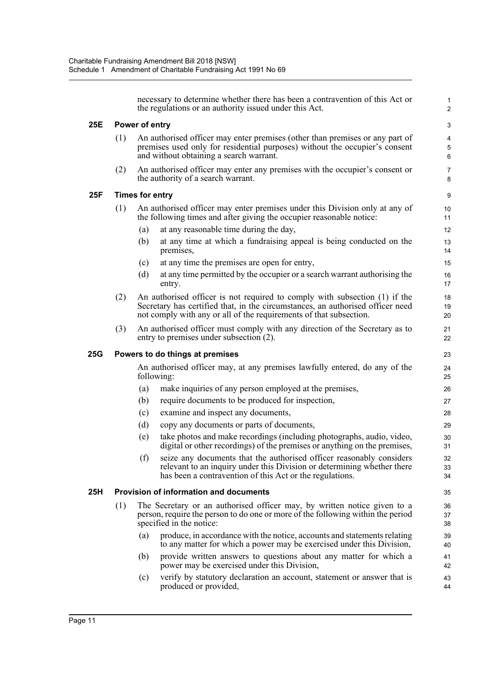necessary to determine whether there has been a contravention of this Act or 1 the regulations or an authority issued under this Act. 2 **25E Power of entry** 3 (1) An authorised officer may enter premises (other than premises or any part of 4 premises used only for residential purposes) without the occupier's consent 5 and without obtaining a search warrant. 6 (2) An authorised officer may enter any premises with the occupier's consent or 7 the authority of a search warrant. 8 **25F Times for entry** 9 (1) An authorised officer may enter premises under this Division only at any of 10 the following times and after giving the occupier reasonable notice: 11 (a) at any reasonable time during the day, 12 (b) at any time at which a fundraising appeal is being conducted on the 13 premises, 14 (c) at any time the premises are open for entry, 15 (d) at any time permitted by the occupier or a search warrant authorising the 16 entry. 17 (2) An authorised officer is not required to comply with subsection (1) if the 18 Secretary has certified that, in the circumstances, an authorised officer need 19 not comply with any or all of the requirements of that subsection. 20 (3) An authorised officer must comply with any direction of the Secretary as to 21 entry to premises under subsection (2). 22 **25G Powers to do things at premises** 23 An authorised officer may, at any premises lawfully entered, do any of the 24 following: 25 (a) make inquiries of any person employed at the premises, 26 (b) require documents to be produced for inspection, 27 (c) examine and inspect any documents, 28 (d) copy any documents or parts of documents, 29 (e) take photos and make recordings (including photographs, audio, video, 30 digital or other recordings) of the premises or anything on the premises, 31 (f) seize any documents that the authorised officer reasonably considers 32 relevant to an inquiry under this Division or determining whether there 33 has been a contravention of this Act or the regulations.  $\frac{34}{2}$ **25H Provision of information and documents** 35 (1) The Secretary or an authorised officer may, by written notice given to a 36 person, require the person to do one or more of the following within the period 37 specified in the notice: 38 (a) produce, in accordance with the notice, accounts and statements relating 39 to any matter for which a power may be exercised under this Division, 40 (b) provide written answers to questions about any matter for which a 41 power may be exercised under this Division, 42 (c) verify by statutory declaration an account, statement or answer that is 43 produced or provided, the same produced or provided, the same produced or provided, the same produced state  $\frac{44}{2}$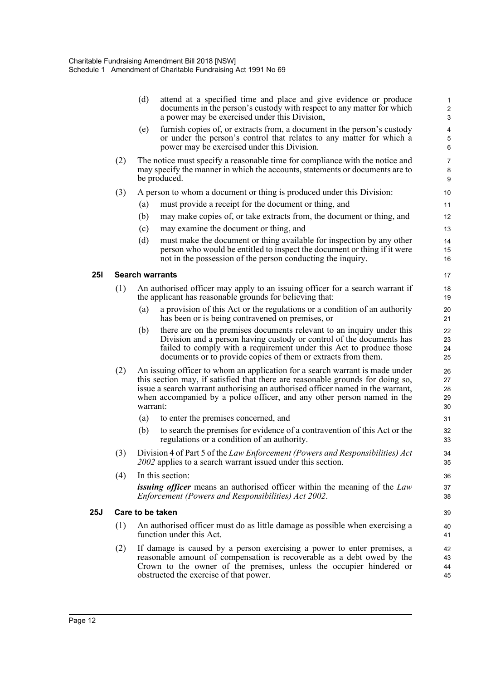|            |     | (d)                                                                                                                                                                                                                                                                | attend at a specified time and place and give evidence or produce<br>documents in the person's custody with respect to any matter for which<br>a power may be exercised under this Division,                                                                                                                                | $\overline{\mathbf{c}}$<br>3 |  |  |  |
|------------|-----|--------------------------------------------------------------------------------------------------------------------------------------------------------------------------------------------------------------------------------------------------------------------|-----------------------------------------------------------------------------------------------------------------------------------------------------------------------------------------------------------------------------------------------------------------------------------------------------------------------------|------------------------------|--|--|--|
|            |     | (e)                                                                                                                                                                                                                                                                | furnish copies of, or extracts from, a document in the person's custody<br>or under the person's control that relates to any matter for which a<br>power may be exercised under this Division.                                                                                                                              | 4<br>5<br>6                  |  |  |  |
|            | (2) |                                                                                                                                                                                                                                                                    | The notice must specify a reasonable time for compliance with the notice and<br>may specify the manner in which the accounts, statements or documents are to<br>be produced.                                                                                                                                                | 7<br>8<br>g                  |  |  |  |
|            | (3) |                                                                                                                                                                                                                                                                    | A person to whom a document or thing is produced under this Division:                                                                                                                                                                                                                                                       | 10                           |  |  |  |
|            |     | (a)                                                                                                                                                                                                                                                                | must provide a receipt for the document or thing, and                                                                                                                                                                                                                                                                       | 11                           |  |  |  |
|            |     | (b)                                                                                                                                                                                                                                                                | may make copies of, or take extracts from, the document or thing, and                                                                                                                                                                                                                                                       | 12                           |  |  |  |
|            |     | (c)                                                                                                                                                                                                                                                                | may examine the document or thing, and                                                                                                                                                                                                                                                                                      | 13                           |  |  |  |
|            |     | (d)                                                                                                                                                                                                                                                                | must make the document or thing available for inspection by any other<br>person who would be entitled to inspect the document or thing if it were<br>not in the possession of the person conducting the inquiry.                                                                                                            | 14<br>15<br>16               |  |  |  |
| <b>251</b> |     | <b>Search warrants</b>                                                                                                                                                                                                                                             |                                                                                                                                                                                                                                                                                                                             | 17                           |  |  |  |
|            | (1) | An authorised officer may apply to an issuing officer for a search warrant if<br>the applicant has reasonable grounds for believing that:                                                                                                                          |                                                                                                                                                                                                                                                                                                                             |                              |  |  |  |
|            |     | $\left( a\right)$                                                                                                                                                                                                                                                  | a provision of this Act or the regulations or a condition of an authority<br>has been or is being contravened on premises, or                                                                                                                                                                                               | 20<br>21                     |  |  |  |
|            |     | (b)                                                                                                                                                                                                                                                                | there are on the premises documents relevant to an inquiry under this<br>Division and a person having custody or control of the documents has<br>failed to comply with a requirement under this Act to produce those<br>documents or to provide copies of them or extracts from them.                                       | 22<br>23<br>24<br>25         |  |  |  |
|            | (2) | warrant:                                                                                                                                                                                                                                                           | An issuing officer to whom an application for a search warrant is made under<br>this section may, if satisfied that there are reasonable grounds for doing so,<br>issue a search warrant authorising an authorised officer named in the warrant,<br>when accompanied by a police officer, and any other person named in the | 26<br>27<br>28<br>29<br>30   |  |  |  |
|            |     | (a)                                                                                                                                                                                                                                                                | to enter the premises concerned, and                                                                                                                                                                                                                                                                                        | 31                           |  |  |  |
|            |     | (b)                                                                                                                                                                                                                                                                | to search the premises for evidence of a contravention of this Act or the<br>regulations or a condition of an authority.                                                                                                                                                                                                    | 32<br>33                     |  |  |  |
|            | (3) |                                                                                                                                                                                                                                                                    | Division 4 of Part 5 of the Law Enforcement (Powers and Responsibilities) Act<br>2002 applies to a search warrant issued under this section.                                                                                                                                                                                | 34<br>35                     |  |  |  |
|            | (4) | In this section:                                                                                                                                                                                                                                                   |                                                                                                                                                                                                                                                                                                                             |                              |  |  |  |
|            |     |                                                                                                                                                                                                                                                                    | <i>issuing officer</i> means an authorised officer within the meaning of the Law<br>Enforcement (Powers and Responsibilities) Act 2002.                                                                                                                                                                                     | 37<br>38                     |  |  |  |
| 25J        |     |                                                                                                                                                                                                                                                                    | Care to be taken                                                                                                                                                                                                                                                                                                            | 39                           |  |  |  |
|            | (1) |                                                                                                                                                                                                                                                                    | An authorised officer must do as little damage as possible when exercising a<br>function under this Act.                                                                                                                                                                                                                    | 40<br>41                     |  |  |  |
|            | (2) | If damage is caused by a person exercising a power to enter premises, a<br>reasonable amount of compensation is recoverable as a debt owed by the<br>Crown to the owner of the premises, unless the occupier hindered or<br>obstructed the exercise of that power. |                                                                                                                                                                                                                                                                                                                             | 42<br>43<br>44<br>45         |  |  |  |
|            |     |                                                                                                                                                                                                                                                                    |                                                                                                                                                                                                                                                                                                                             |                              |  |  |  |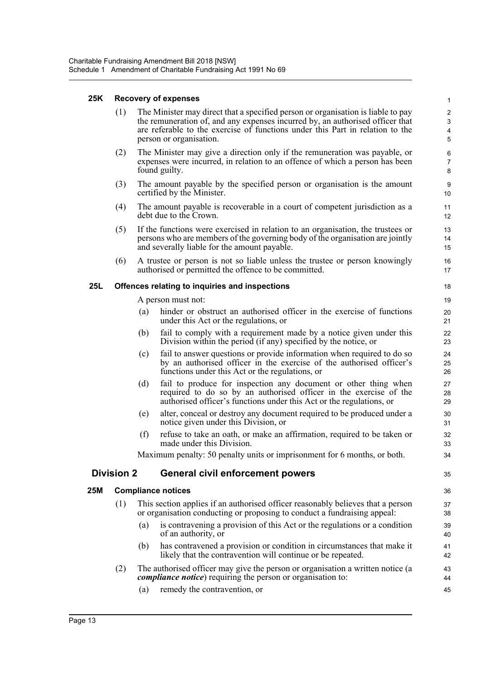| 25K |                   |                                                                                                                                                                                                                  | <b>Recovery of expenses</b>                                                                                                                                                                                                                                                   | $\mathbf{1}$                                                                         |  |  |  |
|-----|-------------------|------------------------------------------------------------------------------------------------------------------------------------------------------------------------------------------------------------------|-------------------------------------------------------------------------------------------------------------------------------------------------------------------------------------------------------------------------------------------------------------------------------|--------------------------------------------------------------------------------------|--|--|--|
|     | (1)               |                                                                                                                                                                                                                  | The Minister may direct that a specified person or organisation is liable to pay<br>the remuneration of, and any expenses incurred by, an authorised officer that<br>are referable to the exercise of functions under this Part in relation to the<br>person or organisation. | $\sqrt{2}$<br>$\ensuremath{\mathsf{3}}$<br>$\overline{\mathbf{4}}$<br>$\overline{5}$ |  |  |  |
|     | (2)               | The Minister may give a direction only if the remuneration was payable, or<br>expenses were incurred, in relation to an offence of which a person has been<br>found guilty.                                      |                                                                                                                                                                                                                                                                               | 6<br>$\overline{7}$<br>8                                                             |  |  |  |
|     | (3)               |                                                                                                                                                                                                                  | The amount payable by the specified person or organisation is the amount<br>certified by the Minister.                                                                                                                                                                        | $\boldsymbol{9}$<br>10                                                               |  |  |  |
|     | (4)               | The amount payable is recoverable in a court of competent jurisdiction as a<br>debt due to the Crown.                                                                                                            |                                                                                                                                                                                                                                                                               |                                                                                      |  |  |  |
|     | (5)               | If the functions were exercised in relation to an organisation, the trustees or<br>persons who are members of the governing body of the organisation are jointly<br>and severally liable for the amount payable. |                                                                                                                                                                                                                                                                               |                                                                                      |  |  |  |
|     | (6)               | A trustee or person is not so liable unless the trustee or person knowingly<br>authorised or permitted the offence to be committed.                                                                              |                                                                                                                                                                                                                                                                               |                                                                                      |  |  |  |
| 25L |                   |                                                                                                                                                                                                                  | Offences relating to inquiries and inspections                                                                                                                                                                                                                                | 18                                                                                   |  |  |  |
|     |                   |                                                                                                                                                                                                                  | A person must not:                                                                                                                                                                                                                                                            | 19                                                                                   |  |  |  |
|     |                   | (a)                                                                                                                                                                                                              | hinder or obstruct an authorised officer in the exercise of functions<br>under this Act or the regulations, or                                                                                                                                                                | 20<br>21                                                                             |  |  |  |
|     |                   | (b)                                                                                                                                                                                                              | fail to comply with a requirement made by a notice given under this<br>Division within the period (if any) specified by the notice, or                                                                                                                                        | 22<br>23                                                                             |  |  |  |
|     |                   | (c)                                                                                                                                                                                                              | fail to answer questions or provide information when required to do so<br>by an authorised officer in the exercise of the authorised officer's<br>functions under this Act or the regulations, or                                                                             | 24<br>25<br>26                                                                       |  |  |  |
|     |                   | (d)                                                                                                                                                                                                              | fail to produce for inspection any document or other thing when<br>required to do so by an authorised officer in the exercise of the<br>authorised officer's functions under this Act or the regulations, or                                                                  | 27<br>28<br>29                                                                       |  |  |  |
|     |                   | (e)                                                                                                                                                                                                              | alter, conceal or destroy any document required to be produced under a<br>notice given under this Division, or                                                                                                                                                                | 30<br>31                                                                             |  |  |  |
|     |                   | (f)                                                                                                                                                                                                              | refuse to take an oath, or make an affirmation, required to be taken or<br>made under this Division.                                                                                                                                                                          | 32<br>33                                                                             |  |  |  |
|     |                   | Maximum penalty: 50 penalty units or imprisonment for 6 months, or both.                                                                                                                                         |                                                                                                                                                                                                                                                                               |                                                                                      |  |  |  |
|     | <b>Division 2</b> |                                                                                                                                                                                                                  | <b>General civil enforcement powers</b>                                                                                                                                                                                                                                       | 35                                                                                   |  |  |  |
| 25M |                   |                                                                                                                                                                                                                  | <b>Compliance notices</b>                                                                                                                                                                                                                                                     | 36                                                                                   |  |  |  |
|     | (1)               |                                                                                                                                                                                                                  | This section applies if an authorised officer reasonably believes that a person<br>or organisation conducting or proposing to conduct a fundraising appeal:                                                                                                                   | 37<br>38                                                                             |  |  |  |
|     |                   | (a)                                                                                                                                                                                                              | is contravening a provision of this Act or the regulations or a condition<br>of an authority, or                                                                                                                                                                              | 39<br>40                                                                             |  |  |  |
|     |                   | (b)                                                                                                                                                                                                              | has contravened a provision or condition in circumstances that make it<br>likely that the contravention will continue or be repeated.                                                                                                                                         | 41<br>42                                                                             |  |  |  |

- (2) The authorised officer may give the person or organisation a written notice (a 43 *compliance notice*) requiring the person or organisation to: 44
	- (a) remedy the contravention, or 45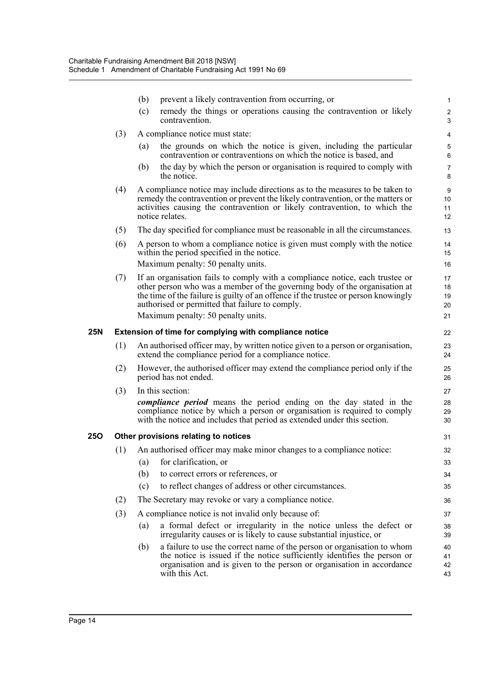|     |     | (b)                                                    | prevent a likely contravention from occurring, or                                                                                                                                                                                                                                                   |                      |  |  |  |  |  |
|-----|-----|--------------------------------------------------------|-----------------------------------------------------------------------------------------------------------------------------------------------------------------------------------------------------------------------------------------------------------------------------------------------------|----------------------|--|--|--|--|--|
|     |     | (c)                                                    | remedy the things or operations causing the contravention or likely<br>contravention.                                                                                                                                                                                                               | 2<br>3               |  |  |  |  |  |
|     | (3) |                                                        | A compliance notice must state:                                                                                                                                                                                                                                                                     | 4                    |  |  |  |  |  |
|     |     | (a)                                                    | the grounds on which the notice is given, including the particular<br>contravention or contraventions on which the notice is based, and                                                                                                                                                             | 6                    |  |  |  |  |  |
|     |     | (b)                                                    | the day by which the person or organisation is required to comply with<br>the notice.                                                                                                                                                                                                               | 7<br>8               |  |  |  |  |  |
|     | (4) |                                                        | A compliance notice may include directions as to the measures to be taken to<br>remedy the contravention or prevent the likely contravention, or the matters or<br>activities causing the contravention or likely contravention, to which the<br>notice relates.                                    | g<br>10<br>11<br>12  |  |  |  |  |  |
|     | (5) |                                                        | The day specified for compliance must be reasonable in all the circumstances.                                                                                                                                                                                                                       | 13                   |  |  |  |  |  |
|     | (6) |                                                        | A person to whom a compliance notice is given must comply with the notice<br>within the period specified in the notice.                                                                                                                                                                             | 14<br>15             |  |  |  |  |  |
|     |     |                                                        | Maximum penalty: 50 penalty units.                                                                                                                                                                                                                                                                  | 16                   |  |  |  |  |  |
|     | (7) |                                                        | If an organisation fails to comply with a compliance notice, each trustee or<br>other person who was a member of the governing body of the organisation at<br>the time of the failure is guilty of an offence if the trustee or person knowingly<br>authorised or permitted that failure to comply. | 17<br>18<br>19<br>20 |  |  |  |  |  |
|     |     |                                                        | Maximum penalty: 50 penalty units.                                                                                                                                                                                                                                                                  | 21                   |  |  |  |  |  |
| 25N |     | Extension of time for complying with compliance notice |                                                                                                                                                                                                                                                                                                     |                      |  |  |  |  |  |
|     | (1) |                                                        | An authorised officer may, by written notice given to a person or organisation,<br>extend the compliance period for a compliance notice.                                                                                                                                                            | 23<br>24             |  |  |  |  |  |
|     | (2) |                                                        | However, the authorised officer may extend the compliance period only if the<br>period has not ended.                                                                                                                                                                                               | 25<br>26             |  |  |  |  |  |
|     | (3) |                                                        | In this section:                                                                                                                                                                                                                                                                                    | 27                   |  |  |  |  |  |
|     |     |                                                        | <i>compliance period</i> means the period ending on the day stated in the<br>compliance notice by which a person or organisation is required to comply<br>with the notice and includes that period as extended under this section.                                                                  | 28<br>29<br>30       |  |  |  |  |  |
| 250 |     |                                                        | Other provisions relating to notices                                                                                                                                                                                                                                                                | 31                   |  |  |  |  |  |
|     | (1) |                                                        | An authorised officer may make minor changes to a compliance notice:                                                                                                                                                                                                                                | 32                   |  |  |  |  |  |
|     |     | (a)                                                    | for clarification, or                                                                                                                                                                                                                                                                               | 33                   |  |  |  |  |  |
|     |     | (b)                                                    | to correct errors or references, or                                                                                                                                                                                                                                                                 | 34                   |  |  |  |  |  |
|     |     | (c)                                                    | to reflect changes of address or other circumstances.                                                                                                                                                                                                                                               | 35                   |  |  |  |  |  |
|     | (2) |                                                        | The Secretary may revoke or vary a compliance notice.                                                                                                                                                                                                                                               | 36                   |  |  |  |  |  |
|     | (3) |                                                        | A compliance notice is not invalid only because of:                                                                                                                                                                                                                                                 | 37                   |  |  |  |  |  |
|     |     | (a)                                                    | a formal defect or irregularity in the notice unless the defect or<br>irregularity causes or is likely to cause substantial injustice, or                                                                                                                                                           | 38<br>39             |  |  |  |  |  |
|     |     | (b)                                                    | a failure to use the correct name of the person or organisation to whom<br>the notice is issued if the notice sufficiently identifies the person or<br>organisation and is given to the person or organisation in accordance<br>with this Act.                                                      | 40<br>41<br>42<br>43 |  |  |  |  |  |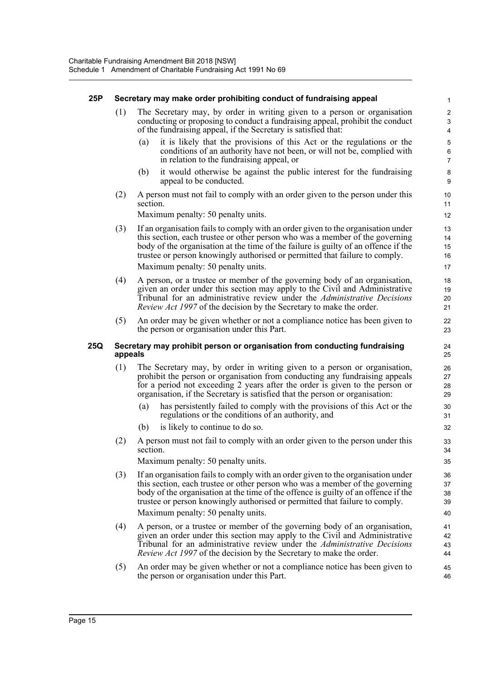#### **25P Secretary may make order prohibiting conduct of fundraising appeal** 1

- (1) The Secretary may, by order in writing given to a person or organisation 2 conducting or proposing to conduct a fundraising appeal, prohibit the conduct 3 of the fundraising appeal, if the Secretary is satisfied that: 4
	- it is likely that the provisions of this Act or the regulations or the 5 conditions of an authority have not been, or will not be, complied with 6 in relation to the fundraising appeal, or 7
	- (b) it would otherwise be against the public interest for the fundraising 8 appeal to be conducted. 9
- (2) A person must not fail to comply with an order given to the person under this 10 section.

Maximum penalty: 50 penalty units. 12

- (3) If an organisation fails to comply with an order given to the organisation under 13 this section, each trustee or other person who was a member of the governing 14 body of the organisation at the time of the failure is guilty of an offence if the 15 trustee or person knowingly authorised or permitted that failure to comply. 16 Maximum penalty: 50 penalty units. 17
- (4) A person, or a trustee or member of the governing body of an organisation, 18 given an order under this section may apply to the Civil and Administrative 19 Tribunal for an administrative review under the *Administrative Decisions* 20 *Review Act 1997* of the decision by the Secretary to make the order. 21
- (5) An order may be given whether or not a compliance notice has been given to 22 the person or organisation under this Part. 23

#### **25Q Secretary may prohibit person or organisation from conducting fundraising** 24 **appeals** 25

- (1) The Secretary may, by order in writing given to a person or organisation, 26 prohibit the person or organisation from conducting any fundraising appeals 27 for a period not exceeding 2 years after the order is given to the person or 28 organisation, if the Secretary is satisfied that the person or organisation: 29
	- (a) has persistently failed to comply with the provisions of this Act or the 30 regulations or the conditions of an authority, and 31
	- (b) is likely to continue to do so. 32
- (2) A person must not fail to comply with an order given to the person under this 33 section. 34

Maximum penalty: 50 penalty units. 35

- (3) If an organisation fails to comply with an order given to the organisation under 36 this section, each trustee or other person who was a member of the governing 37 body of the organisation at the time of the offence is guilty of an offence if the 38 trustee or person knowingly authorised or permitted that failure to comply. 39 Maximum penalty: 50 penalty units. 40
- (4) A person, or a trustee or member of the governing body of an organisation, 41 given an order under this section may apply to the Civil and Administrative 42 Tribunal for an administrative review under the *Administrative Decisions* 43 *Review Act 1997* of the decision by the Secretary to make the order. 44
- (5) An order may be given whether or not a compliance notice has been given to 45 the person or organisation under this Part. 46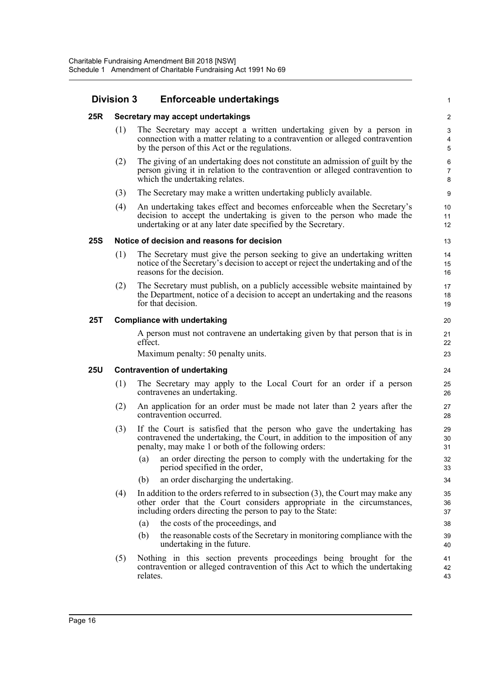| <b>Division 3</b> |                                     | <b>Enforceable undertakings</b>                                                                                                                                                                                            |                            |  |  |  |  |
|-------------------|-------------------------------------|----------------------------------------------------------------------------------------------------------------------------------------------------------------------------------------------------------------------------|----------------------------|--|--|--|--|
| 25R               | Secretary may accept undertakings   |                                                                                                                                                                                                                            |                            |  |  |  |  |
|                   | (1)                                 | The Secretary may accept a written undertaking given by a person in<br>connection with a matter relating to a contravention or alleged contravention<br>by the person of this Act or the regulations.                      | 5                          |  |  |  |  |
|                   | (2)                                 | The giving of an undertaking does not constitute an admission of guilt by the<br>person giving it in relation to the contravention or alleged contravention to<br>which the undertaking relates.                           | $\epsilon$<br>7<br>ε       |  |  |  |  |
|                   | (3)                                 | The Secretary may make a written undertaking publicly available.                                                                                                                                                           | ς                          |  |  |  |  |
|                   | (4)                                 | An undertaking takes effect and becomes enforceable when the Secretary's<br>decision to accept the undertaking is given to the person who made the<br>undertaking or at any later date specified by the Secretary.         | 10<br>11<br>12             |  |  |  |  |
| <b>25S</b>        |                                     | Notice of decision and reasons for decision                                                                                                                                                                                | 13                         |  |  |  |  |
|                   | (1)                                 | The Secretary must give the person seeking to give an undertaking written<br>notice of the Secretary's decision to accept or reject the undertaking and of the<br>reasons for the decision.                                | 14<br>15<br>16             |  |  |  |  |
|                   | (2)                                 | The Secretary must publish, on a publicly accessible website maintained by<br>the Department, notice of a decision to accept an undertaking and the reasons<br>for that decision.                                          | 17<br>18<br>1 <sup>c</sup> |  |  |  |  |
| 25T               | <b>Compliance with undertaking</b>  |                                                                                                                                                                                                                            |                            |  |  |  |  |
|                   |                                     | A person must not contravene an undertaking given by that person that is in<br>effect.                                                                                                                                     | 21<br>22                   |  |  |  |  |
|                   |                                     | Maximum penalty: 50 penalty units.                                                                                                                                                                                         | 23                         |  |  |  |  |
| <b>25U</b>        | <b>Contravention of undertaking</b> |                                                                                                                                                                                                                            |                            |  |  |  |  |
|                   | (1)                                 | The Secretary may apply to the Local Court for an order if a person<br>contravenes an undertaking.                                                                                                                         | 25<br>26                   |  |  |  |  |
|                   | (2)                                 | An application for an order must be made not later than 2 years after the<br>contravention occurred.                                                                                                                       | 27<br>28                   |  |  |  |  |
|                   | (3)                                 | If the Court is satisfied that the person who gave the undertaking has<br>contravened the undertaking, the Court, in addition to the imposition of any<br>penalty, may make 1 or both of the following orders:             | 29<br>30<br>31             |  |  |  |  |
|                   |                                     | an order directing the person to comply with the undertaking for the<br>(a)<br>period specified in the order,                                                                                                              | 32<br>33                   |  |  |  |  |
|                   |                                     | (b)<br>an order discharging the undertaking.                                                                                                                                                                               | 34                         |  |  |  |  |
|                   | (4)                                 | In addition to the orders referred to in subsection $(3)$ , the Court may make any<br>other order that the Court considers appropriate in the circumstances,<br>including orders directing the person to pay to the State: | 35<br>36<br>37             |  |  |  |  |
|                   |                                     | the costs of the proceedings, and<br>(a)                                                                                                                                                                                   | 38                         |  |  |  |  |
|                   |                                     | (b)<br>the reasonable costs of the Secretary in monitoring compliance with the<br>undertaking in the future.                                                                                                               | 39<br>40                   |  |  |  |  |
|                   | (5)                                 | Nothing in this section prevents proceedings being brought for the<br>contravention or alleged contravention of this Act to which the undertaking<br>relates.                                                              | 41<br>42<br>43             |  |  |  |  |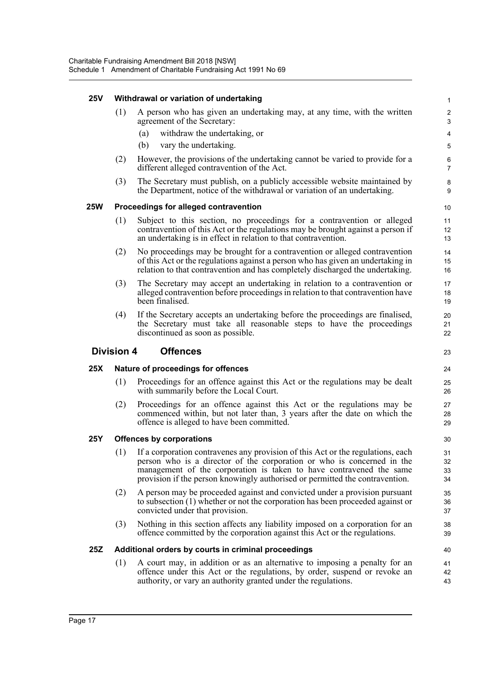#### **25V Withdrawal or variation of undertaking** 1

| (1) A person who has given an undertaking may, at any time, with the written |  |
|------------------------------------------------------------------------------|--|
| agreement of the Secretary:                                                  |  |

- (a) withdraw the undertaking, or 4
- (b) vary the undertaking. 5
- (2) However, the provisions of the undertaking cannot be varied to provide for a 6 different alleged contravention of the Act. 7
- (3) The Secretary must publish, on a publicly accessible website maintained by 8 the Department, notice of the withdrawal or variation of an undertaking.

#### **25W Proceedings for alleged contravention** 10

- (1) Subject to this section, no proceedings for a contravention or alleged 11 contravention of this Act or the regulations may be brought against a person if 12 an undertaking is in effect in relation to that contravention. 13
- (2) No proceedings may be brought for a contravention or alleged contravention 14 of this Act or the regulations against a person who has given an undertaking in 15 relation to that contravention and has completely discharged the undertaking. 16
- (3) The Secretary may accept an undertaking in relation to a contravention or 17 alleged contravention before proceedings in relation to that contravention have 18 been finalised. 19
- (4) If the Secretary accepts an undertaking before the proceedings are finalised, 20 the Secretary must take all reasonable steps to have the proceedings 21 discontinued as soon as possible. 22

#### **Division 4 Offences** <sup>23</sup>

#### **25X Nature of proceedings for offences** 24

- (1) Proceedings for an offence against this Act or the regulations may be dealt 25 with summarily before the Local Court. 26
- (2) Proceedings for an offence against this Act or the regulations may be 27 commenced within, but not later than, 3 years after the date on which the 28 offence is alleged to have been committed. 29

#### **25Y Offences by corporations** 30

- (1) If a corporation contravenes any provision of this Act or the regulations, each 31 person who is a director of the corporation or who is concerned in the 32 management of the corporation is taken to have contravened the same 33 provision if the person knowingly authorised or permitted the contravention. 34
- (2) A person may be proceeded against and convicted under a provision pursuant 35 to subsection (1) whether or not the corporation has been proceeded against or 36 convicted under that provision. 37
- (3) Nothing in this section affects any liability imposed on a corporation for an 38 offence committed by the corporation against this Act or the regulations. 39

#### **25Z Additional orders by courts in criminal proceedings** 40

(1) A court may, in addition or as an alternative to imposing a penalty for an 41 offence under this Act or the regulations, by order, suspend or revoke an 42 authority, or vary an authority granted under the regulations. 43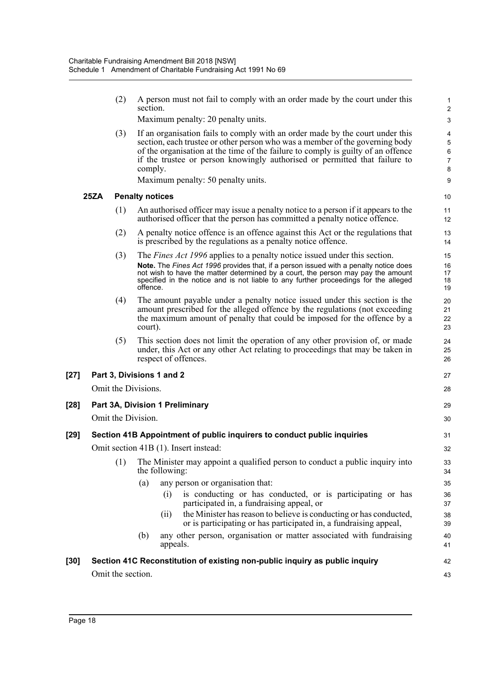|        |      | (2)               | section.                  | A person must not fail to comply with an order made by the court under this                                                                                                                                                                                                                                                     | 2                                 |
|--------|------|-------------------|---------------------------|---------------------------------------------------------------------------------------------------------------------------------------------------------------------------------------------------------------------------------------------------------------------------------------------------------------------------------|-----------------------------------|
|        |      |                   |                           | Maximum penalty: 20 penalty units.                                                                                                                                                                                                                                                                                              | G                                 |
|        |      | (3)               | comply.                   | If an organisation fails to comply with an order made by the court under this<br>section, each trustee or other person who was a member of the governing body<br>of the organisation at the time of the failure to comply is guilty of an offence<br>if the trustee or person knowingly authorised or permitted that failure to | $\epsilon$<br>$\overline{7}$<br>ε |
|        |      |                   |                           | Maximum penalty: 50 penalty units.                                                                                                                                                                                                                                                                                              | ξ                                 |
|        | 25ZA |                   | <b>Penalty notices</b>    |                                                                                                                                                                                                                                                                                                                                 | 10                                |
|        |      | (1)               |                           | An authorised officer may issue a penalty notice to a person if it appears to the<br>authorised officer that the person has committed a penalty notice offence.                                                                                                                                                                 | 11<br>12                          |
|        |      | (2)               |                           | A penalty notice offence is an offence against this Act or the regulations that<br>is prescribed by the regulations as a penalty notice offence.                                                                                                                                                                                | 13<br>14                          |
|        |      | (3)               |                           | The <i>Fines Act 1996</i> applies to a penalty notice issued under this section.                                                                                                                                                                                                                                                | 15                                |
|        |      |                   | offence.                  | Note. The Fines Act 1996 provides that, if a person issued with a penalty notice does<br>not wish to have the matter determined by a court, the person may pay the amount<br>specified in the notice and is not liable to any further proceedings for the alleged                                                               | 16<br>17<br>18<br>19              |
|        |      | (4)               | court).                   | The amount payable under a penalty notice issued under this section is the<br>amount prescribed for the alleged offence by the regulations (not exceeding<br>the maximum amount of penalty that could be imposed for the offence by a                                                                                           | 20<br>21<br>22<br>23              |
|        |      | (5)               |                           | This section does not limit the operation of any other provision of, or made<br>under, this Act or any other Act relating to proceedings that may be taken in<br>respect of offences.                                                                                                                                           | 24<br>25<br>26                    |
| $[27]$ |      |                   | Part 3, Divisions 1 and 2 |                                                                                                                                                                                                                                                                                                                                 | 27                                |
|        |      |                   | Omit the Divisions.       |                                                                                                                                                                                                                                                                                                                                 | 28                                |
| [28]   |      |                   |                           | Part 3A, Division 1 Preliminary                                                                                                                                                                                                                                                                                                 | 29                                |
|        |      |                   | Omit the Division.        |                                                                                                                                                                                                                                                                                                                                 | 3 <sub>C</sub>                    |
| [29]   |      |                   |                           | Section 41B Appointment of public inquirers to conduct public inquiries                                                                                                                                                                                                                                                         | 31                                |
|        |      |                   |                           | Omit section 41B (1). Insert instead:                                                                                                                                                                                                                                                                                           | 32                                |
|        |      | (1)               |                           | The Minister may appoint a qualified person to conduct a public inquiry into<br>the following:                                                                                                                                                                                                                                  | 33<br>34                          |
|        |      |                   | (a)                       | any person or organisation that:                                                                                                                                                                                                                                                                                                | 35                                |
|        |      |                   |                           | is conducting or has conducted, or is participating or has<br>(i)<br>participated in, a fundraising appeal, or                                                                                                                                                                                                                  | 36<br>37                          |
|        |      |                   |                           | the Minister has reason to believe is conducting or has conducted,<br>(ii)<br>or is participating or has participated in, a fundraising appeal,                                                                                                                                                                                 | 38<br>39                          |
|        |      |                   | (b)                       | any other person, organisation or matter associated with fundraising<br>appeals.                                                                                                                                                                                                                                                | 40<br>41                          |
| [30]   |      |                   |                           | Section 41C Reconstitution of existing non-public inquiry as public inquiry                                                                                                                                                                                                                                                     | 42                                |
|        |      | Omit the section. |                           |                                                                                                                                                                                                                                                                                                                                 | 43                                |
|        |      |                   |                           |                                                                                                                                                                                                                                                                                                                                 |                                   |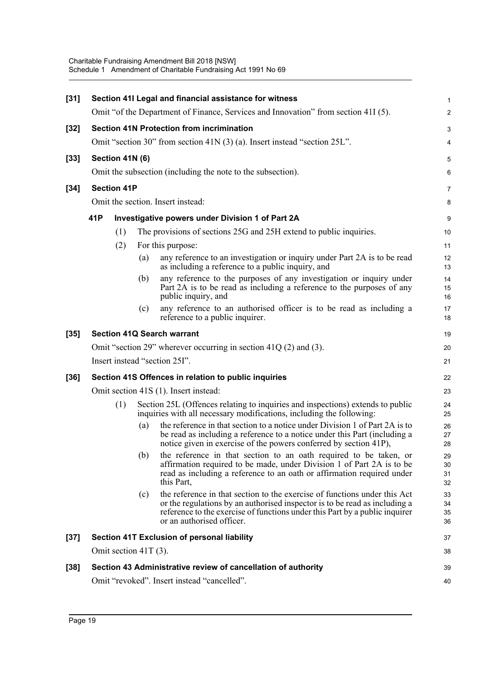| $[31]$ | Section 41I Legal and financial assistance for witness                             |                         |     |                                                                                                                                                                                                                                                                     |                                  |  |  |
|--------|------------------------------------------------------------------------------------|-------------------------|-----|---------------------------------------------------------------------------------------------------------------------------------------------------------------------------------------------------------------------------------------------------------------------|----------------------------------|--|--|
|        | Omit "of the Department of Finance, Services and Innovation" from section 41I (5). |                         |     |                                                                                                                                                                                                                                                                     |                                  |  |  |
| $[32]$ |                                                                                    |                         |     | <b>Section 41N Protection from incrimination</b>                                                                                                                                                                                                                    | З                                |  |  |
|        |                                                                                    |                         |     | Omit "section 30" from section 41N (3) (a). Insert instead "section 25L".                                                                                                                                                                                           |                                  |  |  |
| $[33]$ | Section 41N (6)                                                                    |                         |     |                                                                                                                                                                                                                                                                     |                                  |  |  |
|        |                                                                                    |                         |     | Omit the subsection (including the note to the subsection).                                                                                                                                                                                                         | Е                                |  |  |
| $[34]$ | <b>Section 41P</b>                                                                 |                         |     |                                                                                                                                                                                                                                                                     |                                  |  |  |
|        | Omit the section. Insert instead:                                                  |                         |     |                                                                                                                                                                                                                                                                     |                                  |  |  |
|        | 41P                                                                                |                         |     | Investigative powers under Division 1 of Part 2A                                                                                                                                                                                                                    | ς                                |  |  |
|        |                                                                                    | (1)                     |     | The provisions of sections 25G and 25H extend to public inquiries.                                                                                                                                                                                                  | 10                               |  |  |
|        |                                                                                    | (2)                     |     | For this purpose:                                                                                                                                                                                                                                                   | 11                               |  |  |
|        |                                                                                    |                         | (a) | any reference to an investigation or inquiry under Part 2A is to be read<br>as including a reference to a public inquiry, and                                                                                                                                       | 12<br>13                         |  |  |
|        |                                                                                    |                         | (b) | any reference to the purposes of any investigation or inquiry under<br>Part 2A is to be read as including a reference to the purposes of any<br>public inquiry, and                                                                                                 | 14<br>15<br>16                   |  |  |
|        |                                                                                    |                         | (c) | any reference to an authorised officer is to be read as including a<br>reference to a public inquirer.                                                                                                                                                              | 17<br>18                         |  |  |
| $[35]$ | <b>Section 41Q Search warrant</b>                                                  |                         |     |                                                                                                                                                                                                                                                                     |                                  |  |  |
|        |                                                                                    |                         |     | Omit "section 29" wherever occurring in section $41Q(2)$ and $(3)$ .                                                                                                                                                                                                | 20                               |  |  |
|        |                                                                                    |                         |     | Insert instead "section 25I".                                                                                                                                                                                                                                       | 21                               |  |  |
| $[36]$ | Section 41S Offences in relation to public inquiries                               |                         |     |                                                                                                                                                                                                                                                                     |                                  |  |  |
|        | Omit section 41S (1). Insert instead:                                              |                         |     |                                                                                                                                                                                                                                                                     |                                  |  |  |
|        |                                                                                    | (1)                     |     | Section 25L (Offences relating to inquiries and inspections) extends to public<br>inquiries with all necessary modifications, including the following:                                                                                                              | 24<br>25                         |  |  |
|        |                                                                                    |                         | (a) | the reference in that section to a notice under Division 1 of Part 2A is to<br>be read as including a reference to a notice under this Part (including a<br>notice given in exercise of the powers conferred by section 41P),                                       | 26<br>27<br>28                   |  |  |
|        |                                                                                    |                         |     | (b) the reference in that section to an oath required to be taken, or<br>affirmation required to be made, under Division 1 of Part 2A is to be<br>read as including a reference to an oath or affirmation required under<br>this Part,                              | 29<br>3 <sub>C</sub><br>31<br>32 |  |  |
|        |                                                                                    |                         | (c) | the reference in that section to the exercise of functions under this Act<br>or the regulations by an authorised inspector is to be read as including a<br>reference to the exercise of functions under this Part by a public inquirer<br>or an authorised officer. | 33<br>34<br>35<br>36             |  |  |
| $[37]$ |                                                                                    |                         |     | Section 41T Exclusion of personal liability                                                                                                                                                                                                                         | 37                               |  |  |
|        |                                                                                    | Omit section $41T(3)$ . |     |                                                                                                                                                                                                                                                                     | 38                               |  |  |
| $[38]$ | Section 43 Administrative review of cancellation of authority                      |                         |     |                                                                                                                                                                                                                                                                     |                                  |  |  |
|        |                                                                                    |                         |     | Omit "revoked". Insert instead "cancelled".                                                                                                                                                                                                                         | 40                               |  |  |
|        |                                                                                    |                         |     |                                                                                                                                                                                                                                                                     |                                  |  |  |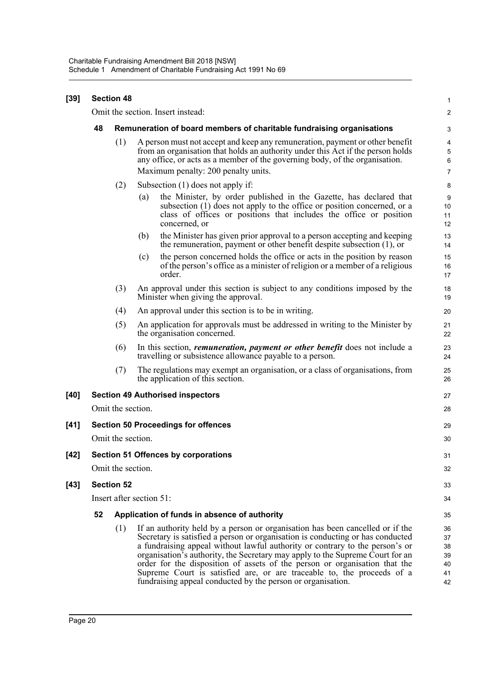| $[39]$ | <b>Section 48</b>                          |                                                                       |                                                                                                                                                                                                                                                                                                                                                                                                                                                                                                                                                         |                                        |  |  |
|--------|--------------------------------------------|-----------------------------------------------------------------------|---------------------------------------------------------------------------------------------------------------------------------------------------------------------------------------------------------------------------------------------------------------------------------------------------------------------------------------------------------------------------------------------------------------------------------------------------------------------------------------------------------------------------------------------------------|----------------------------------------|--|--|
|        | Omit the section. Insert instead:          |                                                                       |                                                                                                                                                                                                                                                                                                                                                                                                                                                                                                                                                         |                                        |  |  |
|        | 48                                         | Remuneration of board members of charitable fundraising organisations |                                                                                                                                                                                                                                                                                                                                                                                                                                                                                                                                                         |                                        |  |  |
|        |                                            | (1)                                                                   | A person must not accept and keep any remuneration, payment or other benefit<br>from an organisation that holds an authority under this Act if the person holds<br>any office, or acts as a member of the governing body, of the organisation.                                                                                                                                                                                                                                                                                                          |                                        |  |  |
|        |                                            | (2)                                                                   | Maximum penalty: 200 penalty units.<br>Subsection $(1)$ does not apply if:                                                                                                                                                                                                                                                                                                                                                                                                                                                                              |                                        |  |  |
|        |                                            |                                                                       | the Minister, by order published in the Gazette, has declared that<br>(a)<br>subsection (1) does not apply to the office or position concerned, or a<br>class of offices or positions that includes the office or position<br>concerned, or                                                                                                                                                                                                                                                                                                             | ε<br>ς<br>10<br>11<br>12               |  |  |
|        |                                            |                                                                       | the Minister has given prior approval to a person accepting and keeping<br>(b)<br>the remuneration, payment or other benefit despite subsection $(1)$ , or                                                                                                                                                                                                                                                                                                                                                                                              | 13<br>14                               |  |  |
|        |                                            |                                                                       | the person concerned holds the office or acts in the position by reason<br>(c)<br>of the person's office as a minister of religion or a member of a religious<br>order.                                                                                                                                                                                                                                                                                                                                                                                 | 15<br>16<br>17                         |  |  |
|        |                                            | (3)                                                                   | An approval under this section is subject to any conditions imposed by the<br>Minister when giving the approval.                                                                                                                                                                                                                                                                                                                                                                                                                                        | 18<br>19                               |  |  |
|        |                                            | An approval under this section is to be in writing.<br>(4)            |                                                                                                                                                                                                                                                                                                                                                                                                                                                                                                                                                         |                                        |  |  |
|        | (5)                                        |                                                                       | An application for approvals must be addressed in writing to the Minister by<br>the organisation concerned.                                                                                                                                                                                                                                                                                                                                                                                                                                             |                                        |  |  |
|        | (6)                                        |                                                                       | In this section, <i>remuneration</i> , <i>payment or other benefit</i> does not include a<br>travelling or subsistence allowance payable to a person.                                                                                                                                                                                                                                                                                                                                                                                                   | 23<br>24                               |  |  |
|        |                                            | (7)                                                                   | The regulations may exempt an organisation, or a class of organisations, from<br>the application of this section.                                                                                                                                                                                                                                                                                                                                                                                                                                       | 25<br>26                               |  |  |
| $[40]$ |                                            |                                                                       | <b>Section 49 Authorised inspectors</b>                                                                                                                                                                                                                                                                                                                                                                                                                                                                                                                 | 27                                     |  |  |
|        |                                            |                                                                       | Omit the section.                                                                                                                                                                                                                                                                                                                                                                                                                                                                                                                                       | 28                                     |  |  |
| $[41]$ | <b>Section 50 Proceedings for offences</b> |                                                                       |                                                                                                                                                                                                                                                                                                                                                                                                                                                                                                                                                         |                                        |  |  |
|        | Omit the section.                          |                                                                       |                                                                                                                                                                                                                                                                                                                                                                                                                                                                                                                                                         |                                        |  |  |
| $[42]$ | <b>Section 51 Offences by corporations</b> |                                                                       |                                                                                                                                                                                                                                                                                                                                                                                                                                                                                                                                                         |                                        |  |  |
|        | Omit the section.                          |                                                                       |                                                                                                                                                                                                                                                                                                                                                                                                                                                                                                                                                         |                                        |  |  |
| $[43]$ | <b>Section 52</b>                          |                                                                       |                                                                                                                                                                                                                                                                                                                                                                                                                                                                                                                                                         |                                        |  |  |
|        | Insert after section 51:                   |                                                                       |                                                                                                                                                                                                                                                                                                                                                                                                                                                                                                                                                         |                                        |  |  |
|        | 52                                         |                                                                       | Application of funds in absence of authority                                                                                                                                                                                                                                                                                                                                                                                                                                                                                                            | 35                                     |  |  |
|        |                                            | (1)                                                                   | If an authority held by a person or organisation has been cancelled or if the<br>Secretary is satisfied a person or organisation is conducting or has conducted<br>a fundraising appeal without lawful authority or contrary to the person's or<br>organisation's authority, the Secretary may apply to the Supreme Court for an<br>order for the disposition of assets of the person or organisation that the<br>Supreme Court is satisfied are, or are traceable to, the proceeds of a<br>fundraising appeal conducted by the person or organisation. | 36<br>37<br>38<br>39<br>40<br>41<br>42 |  |  |